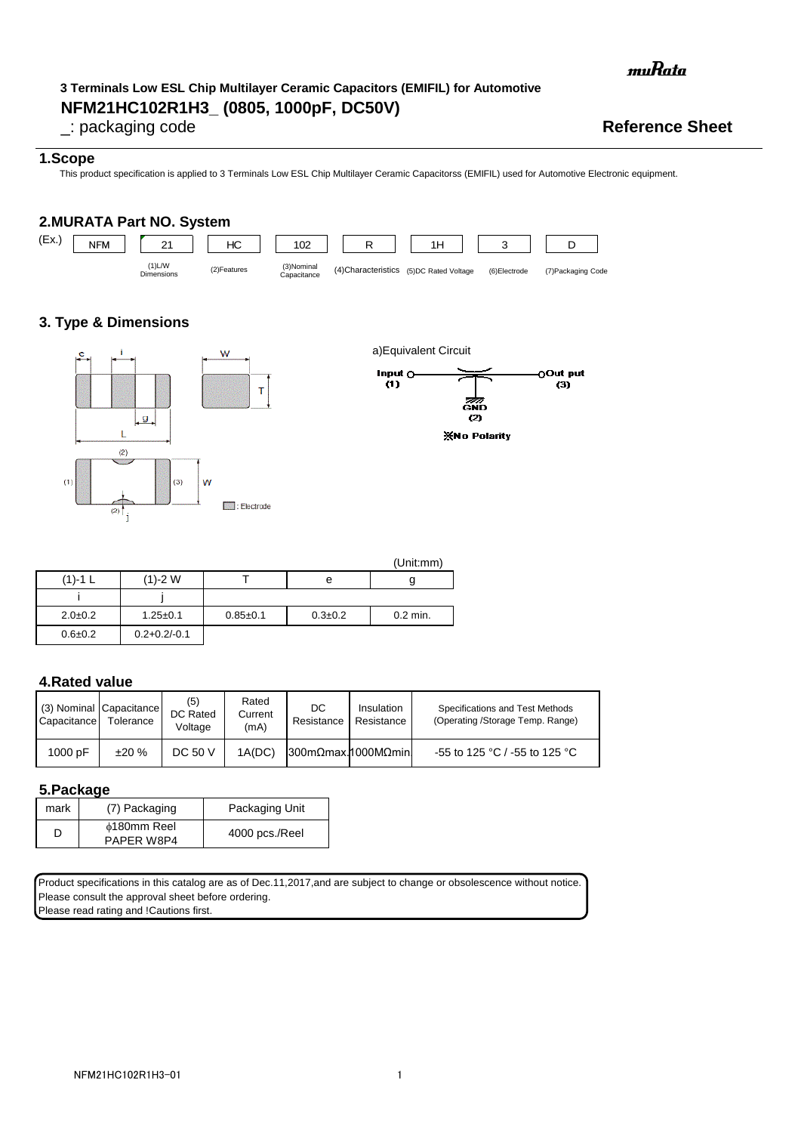muRata

# **NFM21HC102R1H3\_ (0805, 1000pF, DC50V) 3 Terminals Low ESL Chip Multilayer Ceramic Capacitors (EMIFIL) for Automotive**

# \_: packaging code **Reference Sheet**

**1.Scope**

This product specification is applied to 3 Terminals Low ESL Chip Multilayer Ceramic Capacitorss (EMIFIL) used for Automotive Electronic equipment.



| . .         | -                  |              | .           | -          |
|-------------|--------------------|--------------|-------------|------------|
|             |                    |              |             |            |
| $2.0+0.2$   | $1.25 \pm 0.1$     | $0.85 + 0.1$ | $0.3 + 0.2$ | $0.2$ min. |
| $0.6 + 0.2$ | $0.2 + 0.2 / -0.1$ |              |             |            |

# **4.Rated value**

| Capacitance | (3) Nominal Capacitance<br>Tolerance | (5)<br>DC Rated<br>Voltage | Rated<br>Current<br>(mA) | DC.<br>Resistance                                                | Insulation<br>Resistance | Specifications and Test Methods<br>(Operating /Storage Temp. Range) |
|-------------|--------------------------------------|----------------------------|--------------------------|------------------------------------------------------------------|--------------------------|---------------------------------------------------------------------|
| 1000 pF     | ±20%                                 | DC 50 V                    | 1A(DC)                   | $ 300 \text{m}\Omega \text{max}.1000 \text{M}\Omega \text{min} $ |                          | -55 to 125 °C / -55 to 125 °C                                       |

# **5.Package**

| mark | (7) Packaging                    | Packaging Unit |
|------|----------------------------------|----------------|
|      | <b>¢180mm Reel</b><br>PAPER W8P4 | 4000 pcs./Reel |

Product specifications in this catalog are as of Dec.11,2017,and are subject to change or obsolescence without notice. Please consult the approval sheet before ordering. Please read rating and !Cautions first.

i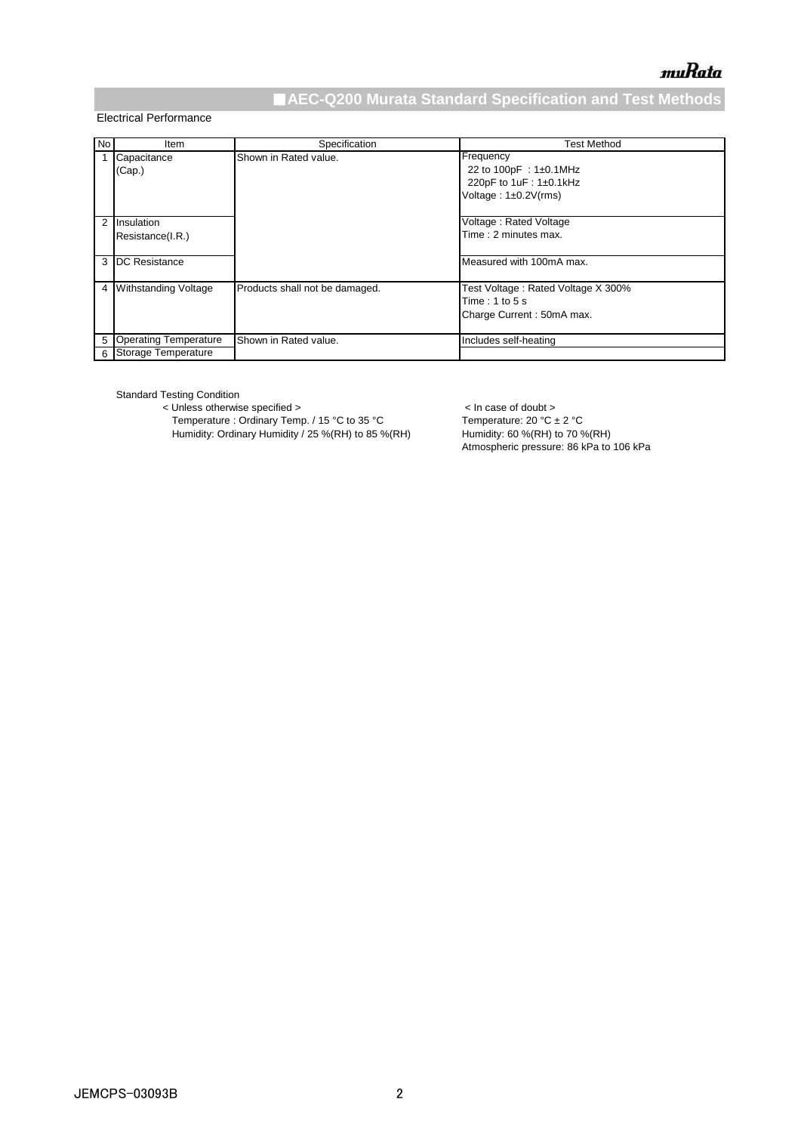# Electrical Performance

| No | Item                        | Specification                  | <b>Test Method</b>                 |
|----|-----------------------------|--------------------------------|------------------------------------|
|    | Capacitance                 | Shown in Rated value.          | Frequency                          |
|    | (Cap.)                      |                                | 22 to 100pF : 1±0.1MHz             |
|    |                             |                                | 220pF to 1uF: 1±0.1kHz             |
|    |                             |                                | Voltage: 1±0.2V(rms)               |
| 2  | Insulation                  |                                | Voltage: Rated Voltage             |
|    | Resistance(I.R.)            |                                | Time: 2 minutes max.               |
| 3  | <b>DC</b> Resistance        |                                | Measured with 100mA max.           |
| 4  | <b>Withstanding Voltage</b> | Products shall not be damaged. | Test Voltage: Rated Voltage X 300% |
|    |                             |                                | Time: $1$ to $5$ s                 |
|    |                             |                                | Charge Current: 50mA max.          |
|    |                             |                                |                                    |
|    | 5 Operating Temperature     | Shown in Rated value.          | Includes self-heating              |
|    | 6 Storage Temperature       |                                |                                    |

Standard Testing Condition

< Unless otherwise specified > <br>
Temperature : Ordinary Temp. / 15 °C to 35 °C <br>
Temperature: 20 °C ± 2 °C Temperature : Ordinary Temp. / 15 °C to 35 °C<br>
Humidity: Ordinary Humidity / 25 %(RH) to 85 %(RH) Humidity: 60 %(RH) to 70 %(RH) Humidity: Ordinary Humidity / 25 %(RH) to 85 %(RH)

Atmospheric pressure: 86 kPa to 106 kPa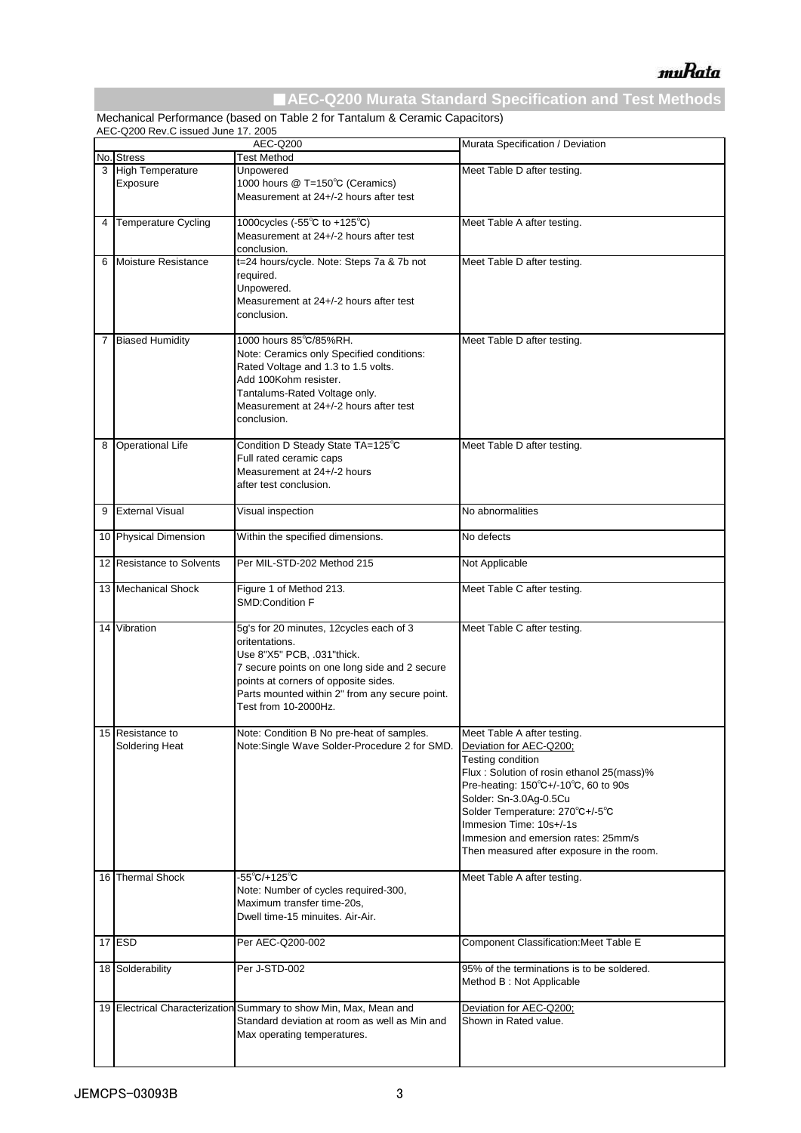### Mechanical Performance (based on Table 2 for Tantalum & Ceramic Capacitors) AEC-Q200 Rev.C issued June 17. 2005

|   |                                    | $11.200$ and $11.01.000$ issued band in . 2000<br>AEC-Q200                                                                                                                                                                                                 | Murata Specification / Deviation                                                                                                                                                                                                                                                                                                             |
|---|------------------------------------|------------------------------------------------------------------------------------------------------------------------------------------------------------------------------------------------------------------------------------------------------------|----------------------------------------------------------------------------------------------------------------------------------------------------------------------------------------------------------------------------------------------------------------------------------------------------------------------------------------------|
|   | No. Stress                         | <b>Test Method</b>                                                                                                                                                                                                                                         |                                                                                                                                                                                                                                                                                                                                              |
|   | 3 High Temperature                 | Unpowered                                                                                                                                                                                                                                                  | Meet Table D after testing.                                                                                                                                                                                                                                                                                                                  |
|   | Exposure                           | 1000 hours @ T=150°C (Ceramics)<br>Measurement at 24+/-2 hours after test                                                                                                                                                                                  |                                                                                                                                                                                                                                                                                                                                              |
|   | 4 Temperature Cycling              | 1000cycles (-55°C to +125°C)<br>Measurement at 24+/-2 hours after test<br>conclusion.                                                                                                                                                                      | Meet Table A after testing.                                                                                                                                                                                                                                                                                                                  |
| 6 | <b>Moisture Resistance</b>         | t=24 hours/cycle. Note: Steps 7a & 7b not<br>required.<br>Unpowered.<br>Measurement at 24+/-2 hours after test<br>conclusion.                                                                                                                              | Meet Table D after testing.                                                                                                                                                                                                                                                                                                                  |
|   | 7 Biased Humidity                  | 1000 hours 85°C/85%RH.<br>Note: Ceramics only Specified conditions:<br>Rated Voltage and 1.3 to 1.5 volts.<br>Add 100Kohm resister.<br>Tantalums-Rated Voltage only.<br>Measurement at 24+/-2 hours after test<br>conclusion.                              | Meet Table D after testing.                                                                                                                                                                                                                                                                                                                  |
| 8 | <b>Operational Life</b>            | Condition D Steady State TA=125°C<br>Full rated ceramic caps<br>Measurement at 24+/-2 hours<br>after test conclusion.                                                                                                                                      | Meet Table D after testing.                                                                                                                                                                                                                                                                                                                  |
| 9 | <b>External Visual</b>             | Visual inspection                                                                                                                                                                                                                                          | No abnormalities                                                                                                                                                                                                                                                                                                                             |
|   | 10 Physical Dimension              | Within the specified dimensions.                                                                                                                                                                                                                           | No defects                                                                                                                                                                                                                                                                                                                                   |
|   | 12 Resistance to Solvents          | Per MIL-STD-202 Method 215                                                                                                                                                                                                                                 | Not Applicable                                                                                                                                                                                                                                                                                                                               |
|   | 13 Mechanical Shock                | Figure 1 of Method 213.<br><b>SMD:Condition F</b>                                                                                                                                                                                                          | Meet Table C after testing.                                                                                                                                                                                                                                                                                                                  |
|   | 14 Vibration                       | 5g's for 20 minutes, 12cycles each of 3<br>oritentations.<br>Use 8"X5" PCB, .031"thick.<br>7 secure points on one long side and 2 secure<br>points at corners of opposite sides.<br>Parts mounted within 2" from any secure point.<br>Test from 10-2000Hz. | Meet Table C after testing.                                                                                                                                                                                                                                                                                                                  |
|   | 15 Resistance to<br>Soldering Heat | Note: Condition B No pre-heat of samples.<br>Note: Single Wave Solder-Procedure 2 for SMD.                                                                                                                                                                 | Meet Table A after testing.<br>Deviation for AEC-Q200;<br>Testing condition<br>Flux: Solution of rosin ethanol 25(mass)%<br>Pre-heating: 150°C+/-10°C, 60 to 90s<br>Solder: Sn-3.0Ag-0.5Cu<br>Solder Temperature: 270°C+/-5°C<br>Immesion Time: 10s+/-1s<br>Immesion and emersion rates: 25mm/s<br>Then measured after exposure in the room. |
|   | 16 Thermal Shock                   | -55°C/+125°C<br>Note: Number of cycles required-300,<br>Maximum transfer time-20s,<br>Dwell time-15 minuites. Air-Air.                                                                                                                                     | Meet Table A after testing.                                                                                                                                                                                                                                                                                                                  |
|   | 17 ESD                             | Per AEC-Q200-002                                                                                                                                                                                                                                           | Component Classification: Meet Table E                                                                                                                                                                                                                                                                                                       |
|   | 18 Solderability                   | Per J-STD-002                                                                                                                                                                                                                                              | 95% of the terminations is to be soldered.<br>Method B: Not Applicable                                                                                                                                                                                                                                                                       |
|   |                                    | 19 Electrical Characterization Summary to show Min, Max, Mean and<br>Standard deviation at room as well as Min and<br>Max operating temperatures.                                                                                                          | Deviation for AEC-Q200;<br>Shown in Rated value.                                                                                                                                                                                                                                                                                             |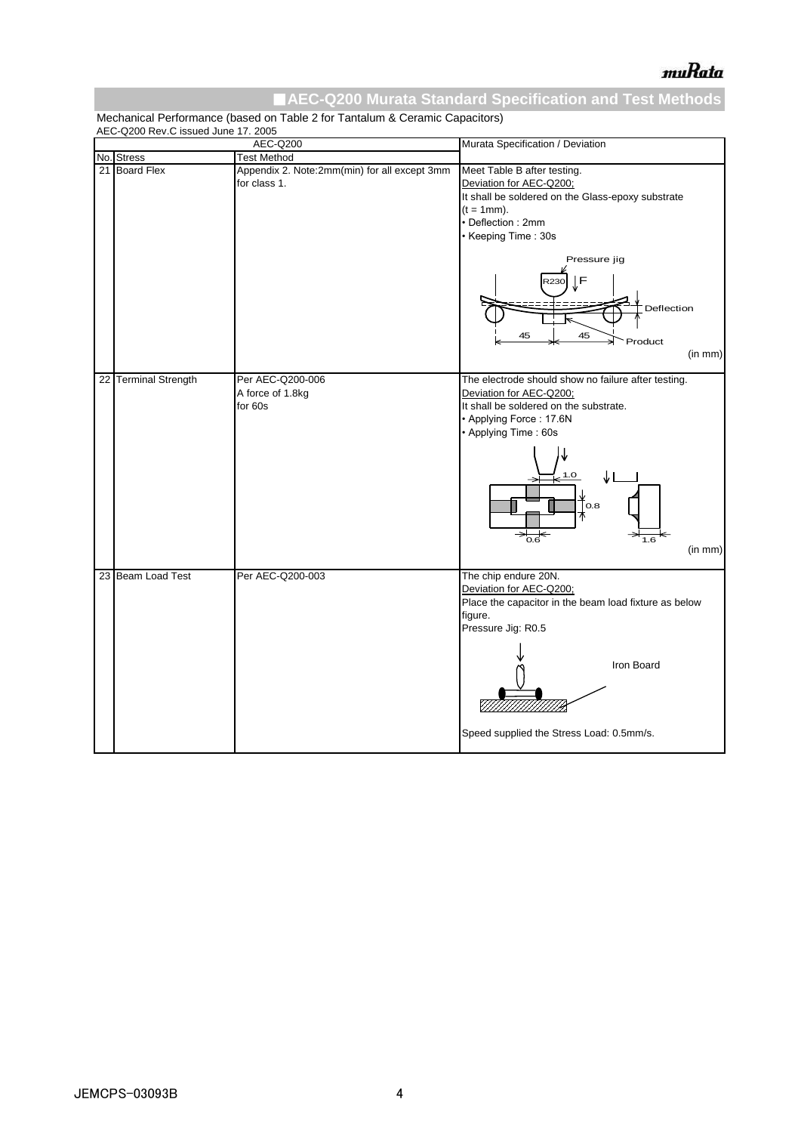Mechanical Performance (based on Table 2 for Tantalum & Ceramic Capacitors) AEC-Q200 Rev.C issued June 17. 2005

| $Q0$ . $Q1$ , $Q2$ , $Q3$ , $Q4$ , $Q5$ , $Q6$ | <b>AEC-Q200</b>                                              | Murata Specification / Deviation                                                                                                                                                                                                                    |
|------------------------------------------------|--------------------------------------------------------------|-----------------------------------------------------------------------------------------------------------------------------------------------------------------------------------------------------------------------------------------------------|
| No. Stress                                     | <b>Test Method</b>                                           |                                                                                                                                                                                                                                                     |
| 21 Board Flex                                  | Appendix 2. Note:2mm(min) for all except 3mm<br>for class 1. | Meet Table B after testing.<br>Deviation for AEC-Q200;<br>It shall be soldered on the Glass-epoxy substrate<br>$(t = 1mm)$ .<br>• Deflection : 2mm<br>• Keeping Time: 30s                                                                           |
|                                                |                                                              | Pressure jig<br>F<br>२२३०<br>Deflection<br>45<br>45<br>Product<br>(in mm)                                                                                                                                                                           |
| 22 Terminal Strength                           | Per AEC-Q200-006<br>A force of 1.8kg<br>for 60s              | The electrode should show no failure after testing.<br>Deviation for AEC-Q200;<br>It shall be soldered on the substrate.<br>• Applying Force: 17.6N<br>• Applying Time: 60s<br>1.0<br>$\epsilon_{\rm 0.8}$<br>$\rightarrow_{0.6}$<br>1.6<br>(in mm) |
| 23 Beam Load Test                              | Per AEC-Q200-003                                             | The chip endure 20N.<br>Deviation for AEC-Q200;<br>Place the capacitor in the beam load fixture as below<br>figure.<br>Pressure Jig: R0.5<br>Iron Board<br>Speed supplied the Stress Load: 0.5mm/s.                                                 |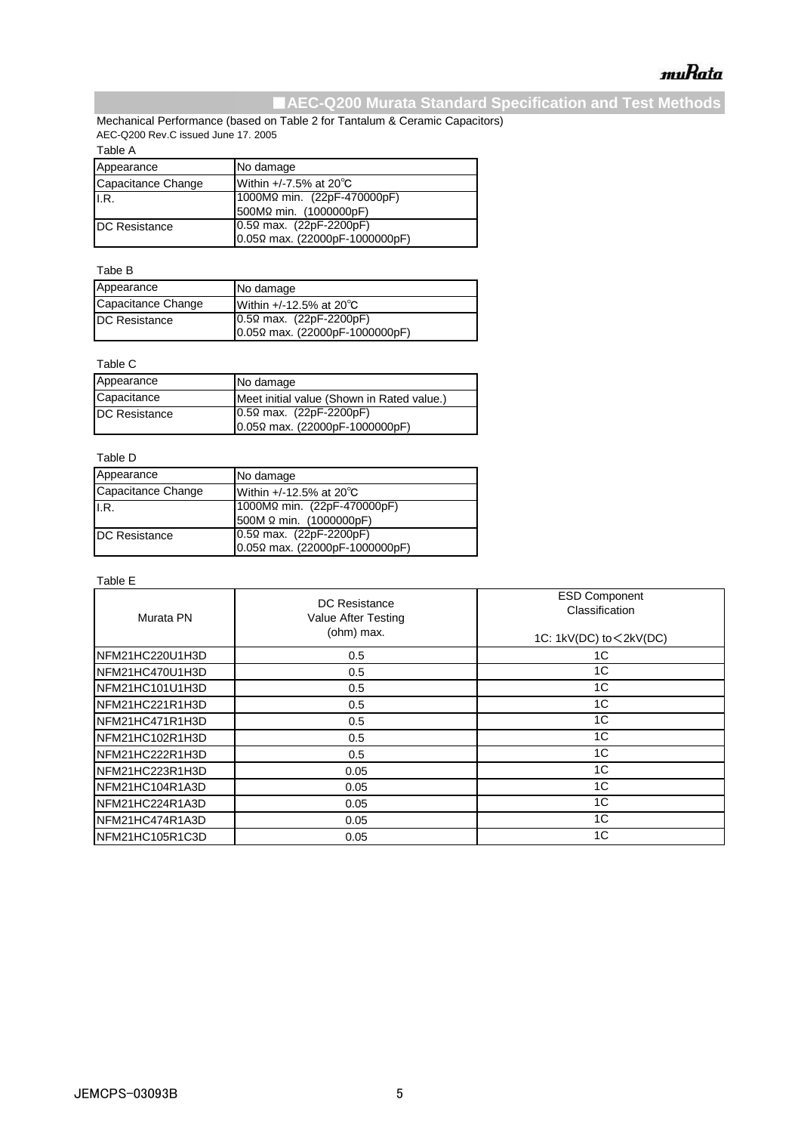Mechanical Performance (based on Table 2 for Tantalum & Ceramic Capacitors) AEC-Q200 Rev.C issued June 17. 2005

Table A

| Appearance           | No damage                             |
|----------------------|---------------------------------------|
| Capacitance Change   | Within +/-7.5% at 20°C                |
| II.R.                | 1000MΩ min. (22pF-470000pF)           |
|                      | 500MΩ min. (1000000pF)                |
| <b>DC</b> Resistance | $0.5$ ? max. $(22pF - 2200pF)$        |
|                      | $0.05\Omega$ max. (22000pF-1000000pF) |

# Tabe B

| Appearance         | No damage                             |
|--------------------|---------------------------------------|
| Capacitance Change | Within $+/-12.5\%$ at 20 $^{\circ}$ C |
| DC Resistance      | $0.5\Omega$ max. (22pF-2200pF)        |
|                    | 0.050 max. (22000pF-1000000pF)        |

# Table C

| Appearance           | No damage                                  |
|----------------------|--------------------------------------------|
| Capacitance          | Meet initial value (Shown in Rated value.) |
| <b>DC Resistance</b> | $0.5\Omega$ max. (22pF-2200pF)             |
|                      | $0.05\Omega$ max. (22000pF-1000000pF)      |

### Table D

| Appearance           | No damage                      |
|----------------------|--------------------------------|
| Capacitance Change   | Within +/-12.5% at 20°C        |
| II.R.                | 1000MΩ min. (22pF-470000pF)    |
|                      | 500M Ω min. (1000000pF)        |
| <b>DC Resistance</b> | $0.5\Omega$ max. (22pF-2200pF) |
|                      | 0.050 max. (22000pF-1000000pF) |

# Table E

| Murata PN       | DC Resistance<br>Value After Testing<br>(ohm) max. | <b>ESD Component</b><br>Classification<br>1C: 1kV(DC) to <2kV(DC) |
|-----------------|----------------------------------------------------|-------------------------------------------------------------------|
| NFM21HC220U1H3D | 0.5                                                | 1C                                                                |
| NFM21HC470U1H3D | 0.5                                                | 1 <sup>C</sup>                                                    |
| NFM21HC101U1H3D | 0.5                                                | 1C                                                                |
| NFM21HC221R1H3D | 0.5                                                | 1 <sup>C</sup>                                                    |
| NFM21HC471R1H3D | 0.5                                                | 1 <sup>C</sup>                                                    |
| NFM21HC102R1H3D | 0.5                                                | 1 <sup>C</sup>                                                    |
| NFM21HC222R1H3D | 0.5                                                | 1 <sup>C</sup>                                                    |
| NFM21HC223R1H3D | 0.05                                               | 1 <sup>C</sup>                                                    |
| NFM21HC104R1A3D | 0.05                                               | 1 <sup>C</sup>                                                    |
| NFM21HC224R1A3D | 0.05                                               | 1 <sup>C</sup>                                                    |
| NFM21HC474R1A3D | 0.05                                               | 1 <sup>C</sup>                                                    |
| NFM21HC105R1C3D | 0.05                                               | 1C                                                                |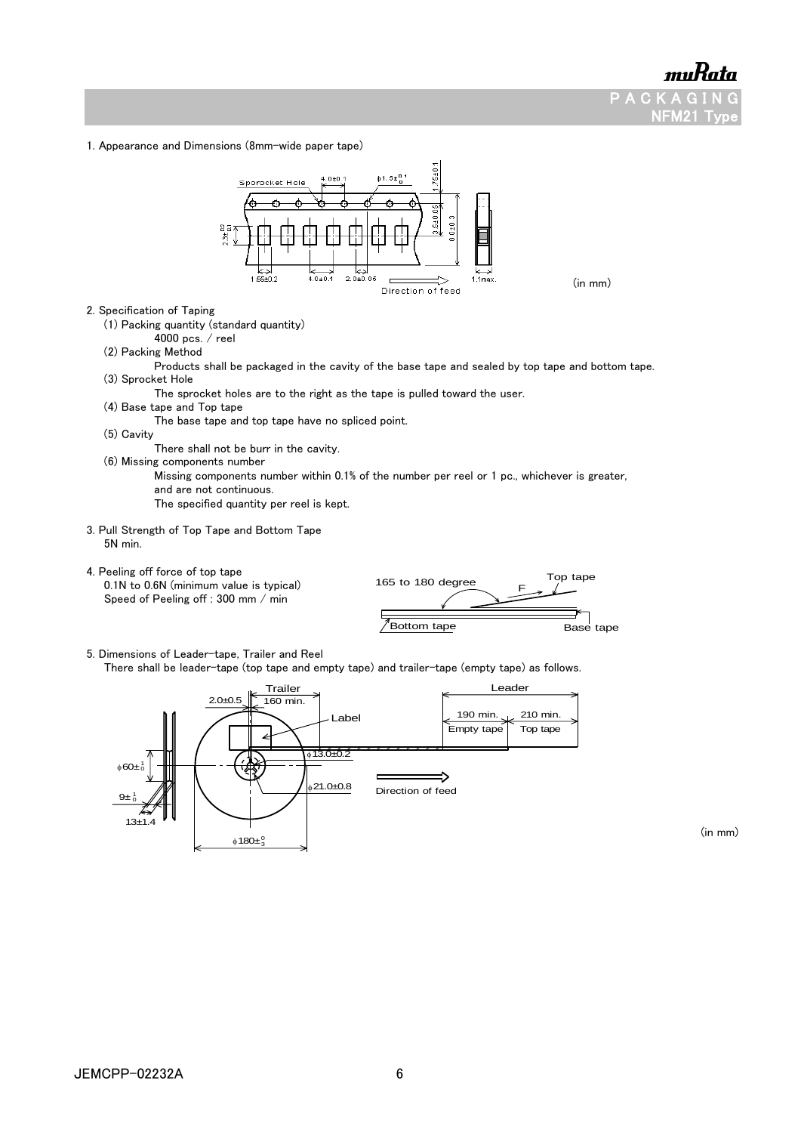

1. Appearance and Dimensions (8mm-wide paper tape)



2. Specification of Taping

(1) Packing quantity (standard quantity)

- 4000 pcs. / reel
- (2) Packing Method
	- Products shall be packaged in the cavity of the base tape and sealed by top tape and bottom tape.
- (3) Sprocket Hole
- The sprocket holes are to the right as the tape is pulled toward the user.
- (4) Base tape and Top tape
	- The base tape and top tape have no spliced point.
- (5) Cavity
	- There shall not be burr in the cavity.

(6) Missing components number Missing components number within 0.1% of the number per reel or 1 pc., whichever is greater, and are not continuous. The specified quantity per reel is kept.

- 3. Pull Strength of Top Tape and Bottom Tape 5N min.
- 4. Peeling off force of top tape 0.1N to 0.6N (minimum value is typical) Speed of Peeling off : 300 mm / min



5. Dimensions of Leader-tape, Trailer and Reel

There shall be leader-tape (top tape and empty tape) and trailer-tape (empty tape) as follows.



(in mm)

JEMCPP-02232A 6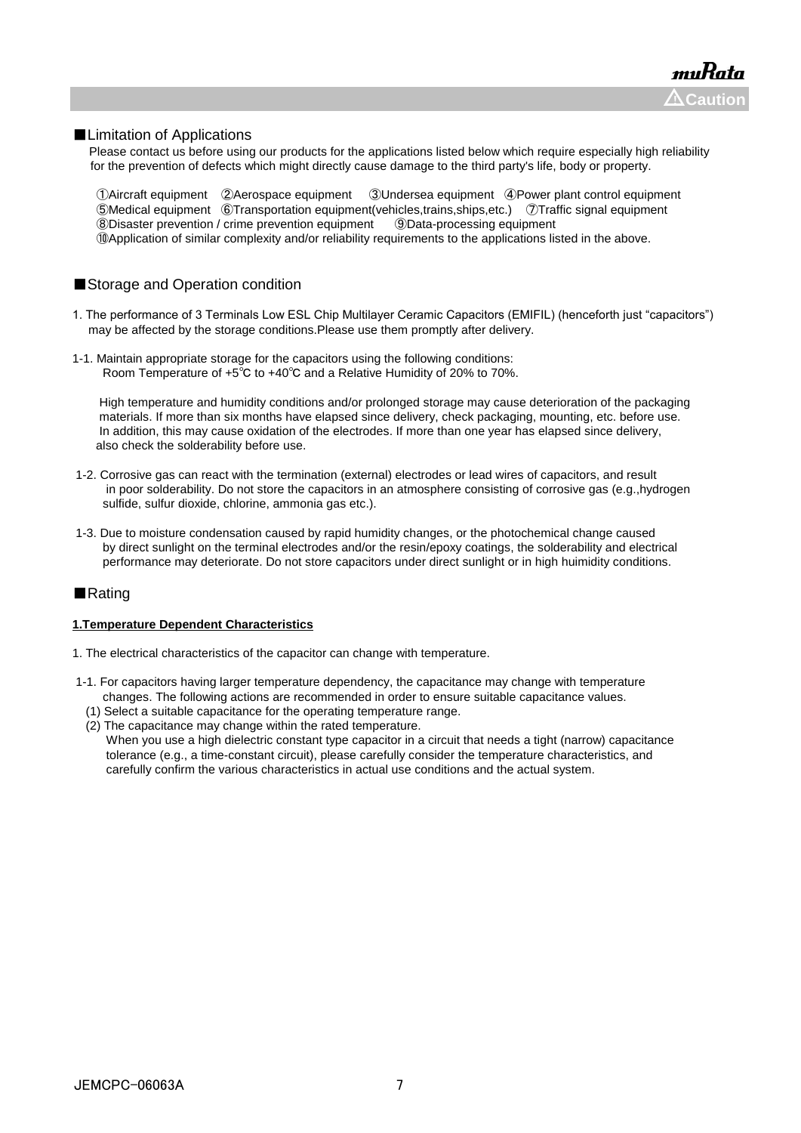# ■Limitation of Applications

Please contact us before using our products for the applications listed below which require especially high reliability for the prevention of defects which might directly cause damage to the third party's life, body or property.

Aircraft equipment ②Aerospace equipment ③Undersea equipment ④Power plant control equipment Medical equipment ⑥Transportation equipment(vehicles,trains,ships,etc.) ⑦Traffic signal equipment Disaster prevention / crime prevention equipment ⑨Data-processing equipment ⑩Application of similar complexity and/or reliability requirements to the applications listed in the above.

# ■Storage and Operation condition

- 1. The performance of 3 Terminals Low ESL Chip Multilayer Ceramic Capacitors (EMIFIL) (henceforth just "capacitors") may be affected by the storage conditions.Please use them promptly after delivery.
- 1-1. Maintain appropriate storage for the capacitors using the following conditions: Room Temperature of +5℃ to +40℃ and a Relative Humidity of 20% to 70%.

 High temperature and humidity conditions and/or prolonged storage may cause deterioration of the packaging materials. If more than six months have elapsed since delivery, check packaging, mounting, etc. before use. In addition, this may cause oxidation of the electrodes. If more than one year has elapsed since delivery, also check the solderability before use.

- 1-2. Corrosive gas can react with the termination (external) electrodes or lead wires of capacitors, and result in poor solderability. Do not store the capacitors in an atmosphere consisting of corrosive gas (e.g.,hydrogen sulfide, sulfur dioxide, chlorine, ammonia gas etc.).
- 1-3. Due to moisture condensation caused by rapid humidity changes, or the photochemical change caused by direct sunlight on the terminal electrodes and/or the resin/epoxy coatings, the solderability and electrical performance may deteriorate. Do not store capacitors under direct sunlight or in high huimidity conditions.

# ■Rating

### **1.Temperature Dependent Characteristics**

- 1. The electrical characteristics of the capacitor can change with temperature.
- 1-1. For capacitors having larger temperature dependency, the capacitance may change with temperature changes. The following actions are recommended in order to ensure suitable capacitance values.
- (1) Select a suitable capacitance for the operating temperature range.
- (2) The capacitance may change within the rated temperature.

 When you use a high dielectric constant type capacitor in a circuit that needs a tight (narrow) capacitance tolerance (e.g., a time-constant circuit), please carefully consider the temperature characteristics, and carefully confirm the various characteristics in actual use conditions and the actual system.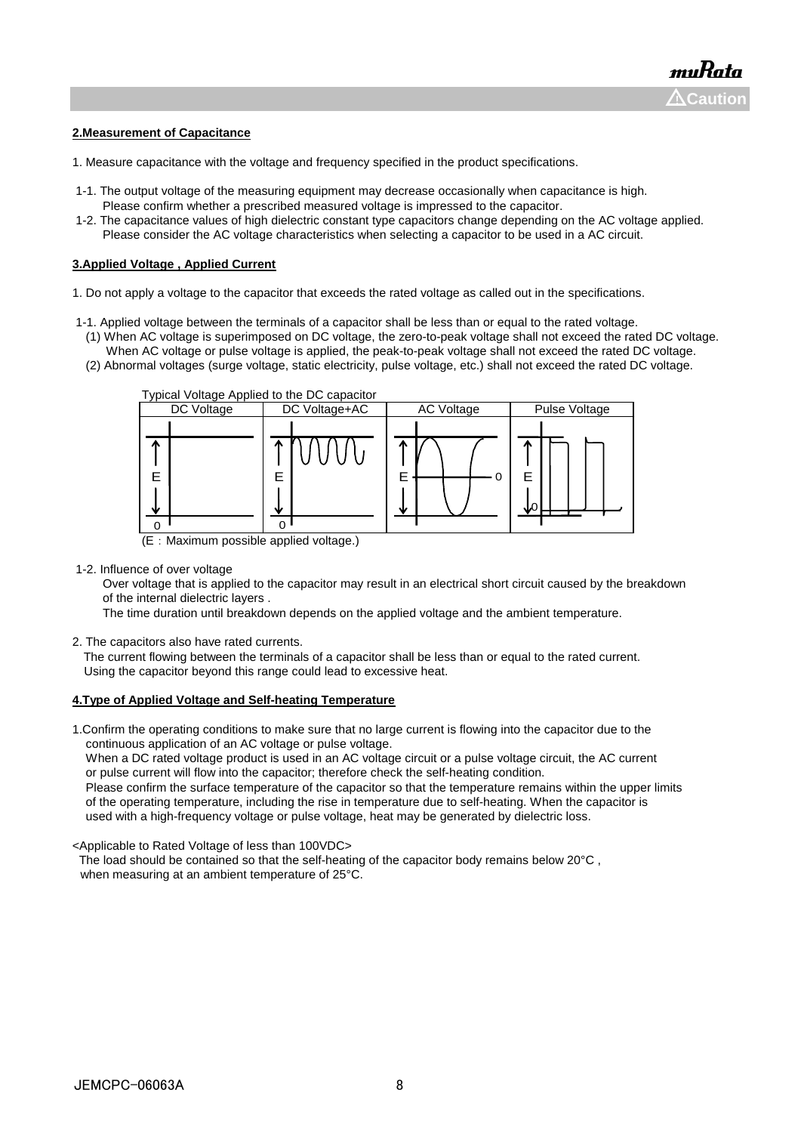## **2.Measurement of Capacitance**

- 1. Measure capacitance with the voltage and frequency specified in the product specifications.
- 1-1. The output voltage of the measuring equipment may decrease occasionally when capacitance is high. Please confirm whether a prescribed measured voltage is impressed to the capacitor.
- 1-2. The capacitance values of high dielectric constant type capacitors change depending on the AC voltage applied. Please consider the AC voltage characteristics when selecting a capacitor to be used in a AC circuit.

# **3.Applied Voltage , Applied Current**

- 1. Do not apply a voltage to the capacitor that exceeds the rated voltage as called out in the specifications.
- 1-1. Applied voltage between the terminals of a capacitor shall be less than or equal to the rated voltage.
	- (1) When AC voltage is superimposed on DC voltage, the zero-to-peak voltage shall not exceed the rated DC voltage. When AC voltage or pulse voltage is applied, the peak-to-peak voltage shall not exceed the rated DC voltage.
	- (2) Abnormal voltages (surge voltage, static electricity, pulse voltage, etc.) shall not exceed the rated DC voltage.



(E:Maximum possible applied voltage.)

1-2. Influence of over voltage

 Over voltage that is applied to the capacitor may result in an electrical short circuit caused by the breakdown of the internal dielectric layers .

The time duration until breakdown depends on the applied voltage and the ambient temperature.

2. The capacitors also have rated currents.

The current flowing between the terminals of a capacitor shall be less than or equal to the rated current. Using the capacitor beyond this range could lead to excessive heat.

### **4.Type of Applied Voltage and Self-heating Temperature**

1.Confirm the operating conditions to make sure that no large current is flowing into the capacitor due to the continuous application of an AC voltage or pulse voltage.

 When a DC rated voltage product is used in an AC voltage circuit or a pulse voltage circuit, the AC current or pulse current will flow into the capacitor; therefore check the self-heating condition.

 Please confirm the surface temperature of the capacitor so that the temperature remains within the upper limits of the operating temperature, including the rise in temperature due to self-heating. When the capacitor is used with a high-frequency voltage or pulse voltage, heat may be generated by dielectric loss.

<Applicable to Rated Voltage of less than 100VDC>

The load should be contained so that the self-heating of the capacitor body remains below 20°C, when measuring at an ambient temperature of 25°C.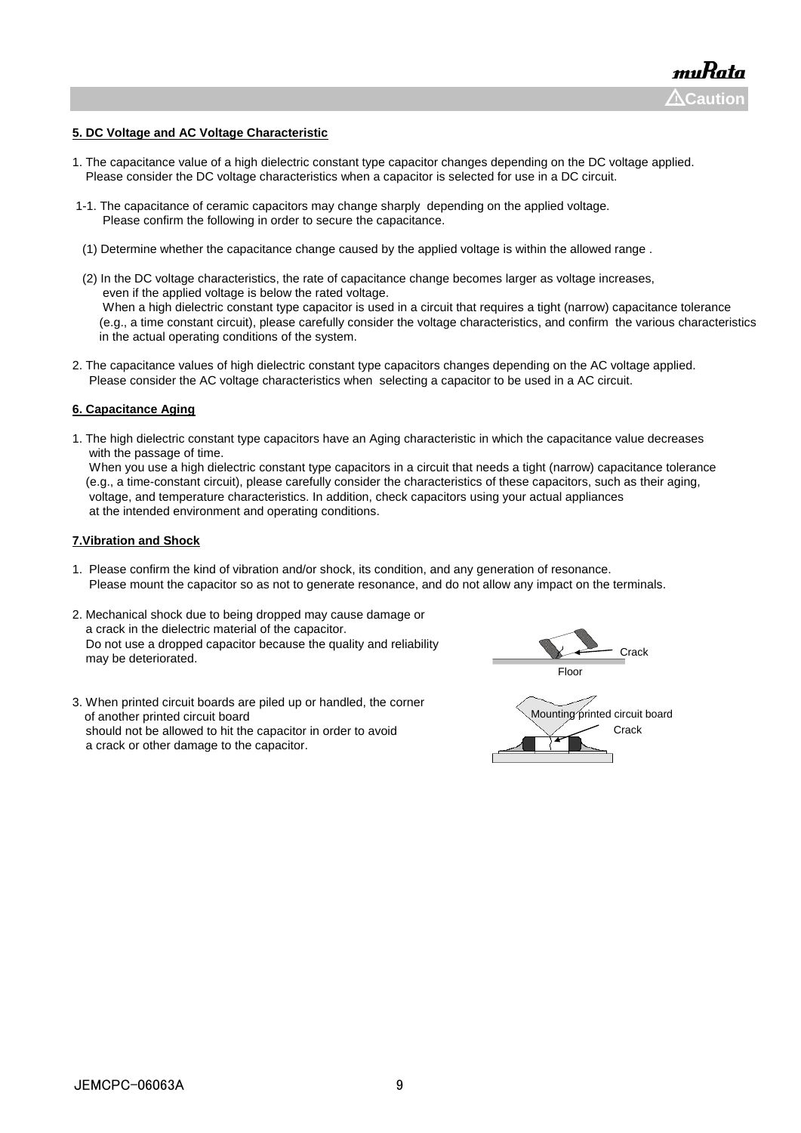

# **5. DC Voltage and AC Voltage Characteristic**

- 1. The capacitance value of a high dielectric constant type capacitor changes depending on the DC voltage applied. Please consider the DC voltage characteristics when a capacitor is selected for use in a DC circuit.
- 1-1. The capacitance of ceramic capacitors may change sharply depending on the applied voltage. Please confirm the following in order to secure the capacitance.
- (1) Determine whether the capacitance change caused by the applied voltage is within the allowed range .
- (2) In the DC voltage characteristics, the rate of capacitance change becomes larger as voltage increases, even if the applied voltage is below the rated voltage. When a high dielectric constant type capacitor is used in a circuit that requires a tight (narrow) capacitance tolerance (e.g., a time constant circuit), please carefully consider the voltage characteristics, and confirm the various characteristics in the actual operating conditions of the system.
- 2. The capacitance values of high dielectric constant type capacitors changes depending on the AC voltage applied. Please consider the AC voltage characteristics when selecting a capacitor to be used in a AC circuit.

### **6. Capacitance Aging**

1. The high dielectric constant type capacitors have an Aging characteristic in which the capacitance value decreases with the passage of time.

 When you use a high dielectric constant type capacitors in a circuit that needs a tight (narrow) capacitance tolerance (e.g., a time-constant circuit), please carefully consider the characteristics of these capacitors, such as their aging, voltage, and temperature characteristics. In addition, check capacitors using your actual appliances at the intended environment and operating conditions.

### **7.Vibration and Shock**

- 1. Please confirm the kind of vibration and/or shock, its condition, and any generation of resonance. Please mount the capacitor so as not to generate resonance, and do not allow any impact on the terminals.
- 2. Mechanical shock due to being dropped may cause damage or a crack in the dielectric material of the capacitor. Do not use a dropped capacitor because the quality and reliability may be deteriorated.
- 3. When printed circuit boards are piled up or handled, the corner of another printed circuit board should not be allowed to hit the capacitor in order to avoid a crack or other damage to the capacitor.

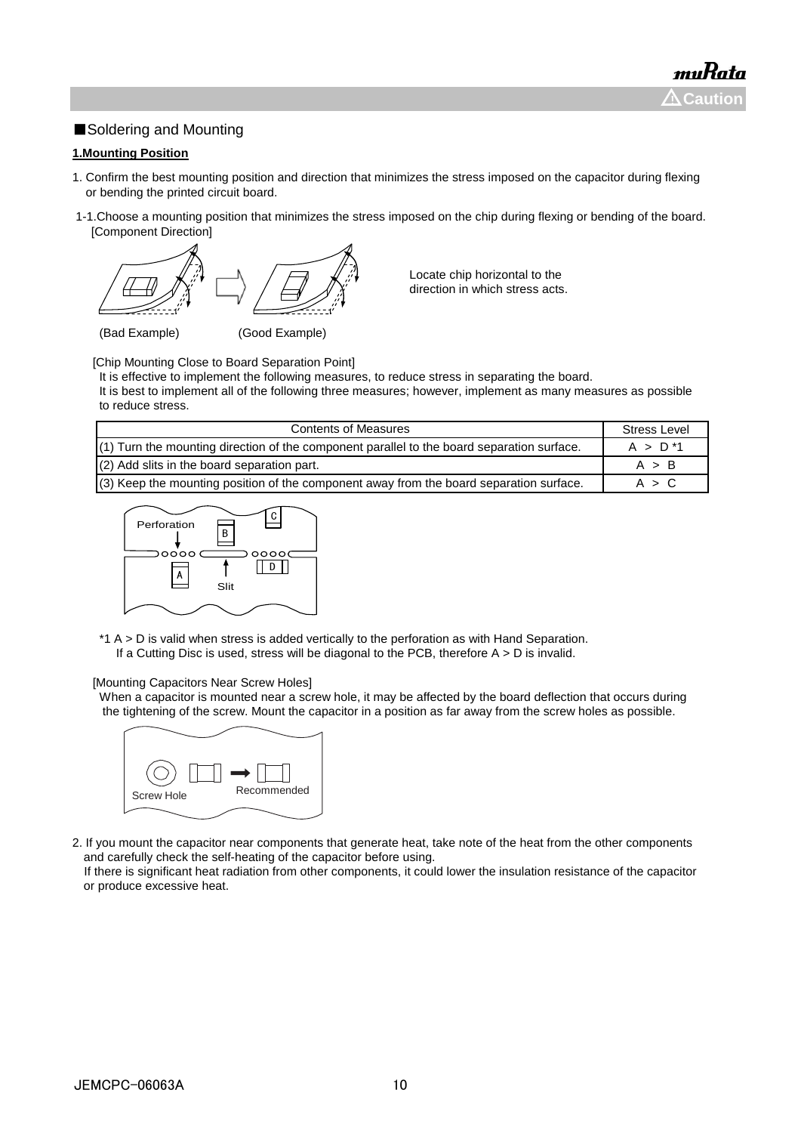# ■Soldering and Mounting

# **1.Mounting Position**

- 1. Confirm the best mounting position and direction that minimizes the stress imposed on the capacitor during flexing or bending the printed circuit board.
- 1-1.Choose a mounting position that minimizes the stress imposed on the chip during flexing or bending of the board. [Component Direction]



Locate chip horizontal to the direction in which stress acts.

(Bad Example) (Good Example)

[Chip Mounting Close to Board Separation Point]

It is effective to implement the following measures, to reduce stress in separating the board.

It is best to implement all of the following three measures; however, implement as many measures as possible to reduce stress.

| <b>Contents of Measures</b>                                                                  | <b>Stress Level</b> |
|----------------------------------------------------------------------------------------------|---------------------|
| $(1)$ Turn the mounting direction of the component parallel to the board separation surface. | $A > D^*1$          |
| $(2)$ Add slits in the board separation part.                                                | A > B               |
| $(3)$ Keep the mounting position of the component away from the board separation surface.    | A > C               |



\*1 A > D is valid when stress is added vertically to the perforation as with Hand Separation. If a Cutting Disc is used, stress will be diagonal to the PCB, therefore  $A > D$  is invalid.

### [Mounting Capacitors Near Screw Holes]

When a capacitor is mounted near a screw hole, it may be affected by the board deflection that occurs during the tightening of the screw. Mount the capacitor in a position as far away from the screw holes as possible.



2. If you mount the capacitor near components that generate heat, take note of the heat from the other components and carefully check the self-heating of the capacitor before using.

If there is significant heat radiation from other components, it could lower the insulation resistance of the capacitor or produce excessive heat.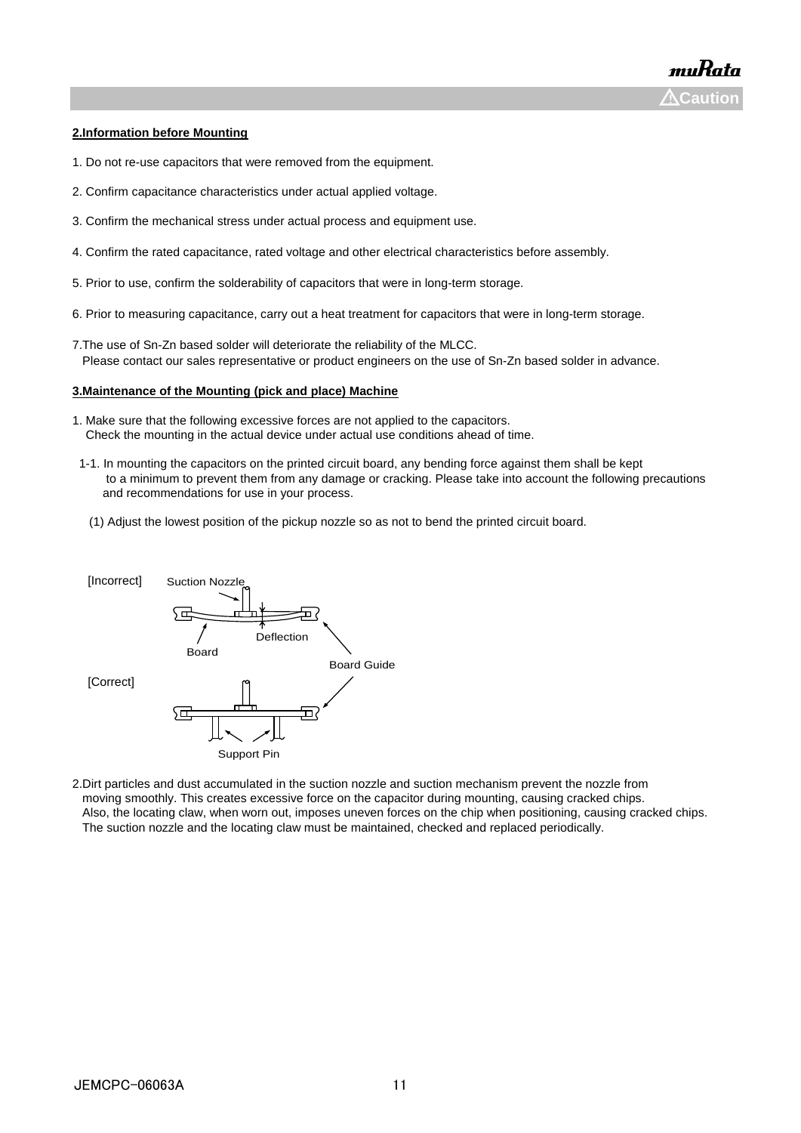muRata  $\bigwedge$ Cautio

### **2.Information before Mounting**

- 1. Do not re-use capacitors that were removed from the equipment.
- 2. Confirm capacitance characteristics under actual applied voltage.
- 3. Confirm the mechanical stress under actual process and equipment use.
- 4. Confirm the rated capacitance, rated voltage and other electrical characteristics before assembly.
- 5. Prior to use, confirm the solderability of capacitors that were in long-term storage.
- 6. Prior to measuring capacitance, carry out a heat treatment for capacitors that were in long-term storage.
- 7.The use of Sn-Zn based solder will deteriorate the reliability of the MLCC. Please contact our sales representative or product engineers on the use of Sn-Zn based solder in advance.

### **3.Maintenance of the Mounting (pick and place) Machine**

- 1. Make sure that the following excessive forces are not applied to the capacitors. Check the mounting in the actual device under actual use conditions ahead of time.
- 1-1. In mounting the capacitors on the printed circuit board, any bending force against them shall be kept to a minimum to prevent them from any damage or cracking. Please take into account the following precautions and recommendations for use in your process.
- (1) Adjust the lowest position of the pickup nozzle so as not to bend the printed circuit board.



2.Dirt particles and dust accumulated in the suction nozzle and suction mechanism prevent the nozzle from moving smoothly. This creates excessive force on the capacitor during mounting, causing cracked chips. Also, the locating claw, when worn out, imposes uneven forces on the chip when positioning, causing cracked chips. The suction nozzle and the locating claw must be maintained, checked and replaced periodically.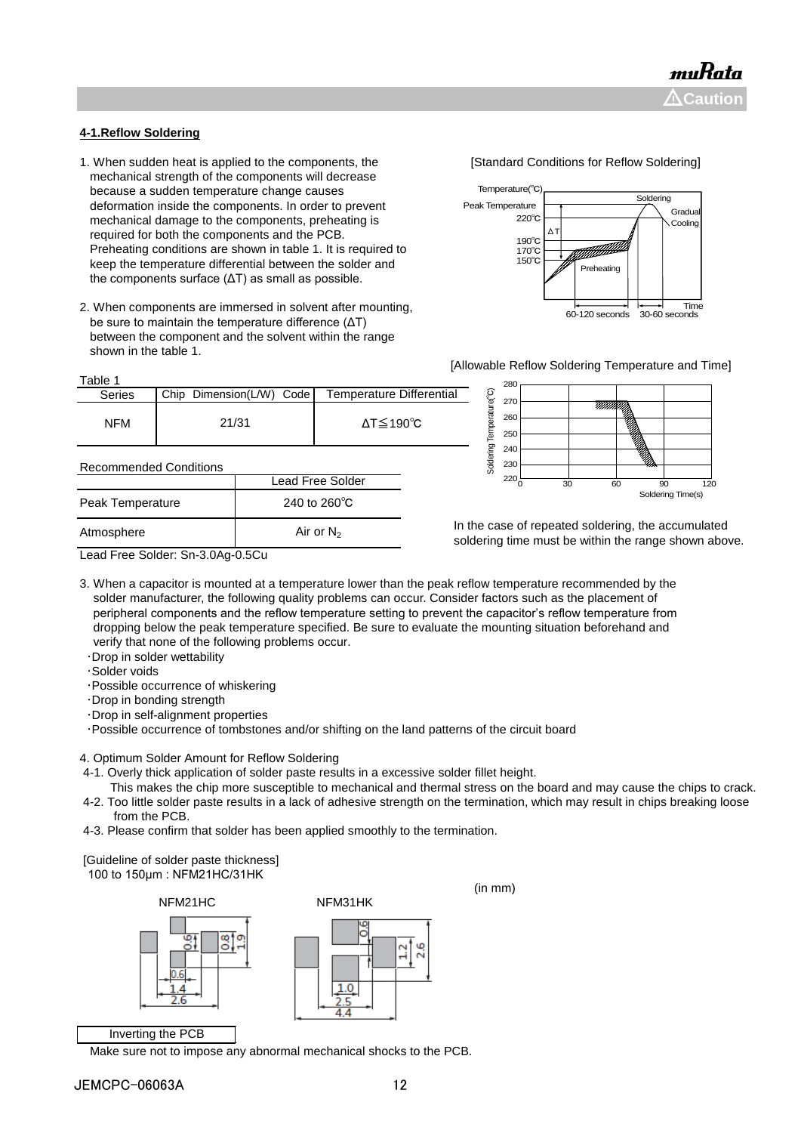# **4-1.Reflow Soldering**

- 1. When sudden heat is applied to the components, the **[Standard Conditions for Reflow Soldering]**  mechanical strength of the components will decrease because a sudden temperature change causes deformation inside the components. In order to prevent mechanical damage to the components, preheating is required for both the components and the PCB. Preheating conditions are shown in table 1. It is required to keep the temperature differential between the solder and the components surface (ΔT) as small as possible.
- 2. When components are immersed in solvent after mounting, be sure to maintain the temperature difference (ΔT) between the component and the solvent within the range shown in the table 1.

## Table 1

| <b>Series</b>                 | Chip Dimension(L/W)<br>Code I |                         | <b>Temperature Differential</b> |  |
|-------------------------------|-------------------------------|-------------------------|---------------------------------|--|
| <b>NFM</b>                    | 21/31                         |                         | $\Delta T \leq 190^{\circ}C$    |  |
| <b>Recommended Conditions</b> |                               |                         |                                 |  |
|                               |                               | <b>Lead Free Solder</b> |                                 |  |
| Peak Temperature              |                               |                         | 240 to $260^{\circ}$ C          |  |



60-120 seconds 30-60 seconds

### [Allowable Reflow Soldering Temperature and Time]



 In the case of repeated soldering, the accumulated soldering time must be within the range shown above.

Lead Free Solder: Sn-3.0Ag-0.5Cu

Atmosphere  $\blacksquare$  Air or  $N_2$ 

3. When a capacitor is mounted at a temperature lower than the peak reflow temperature recommended by the solder manufacturer, the following quality problems can occur. Consider factors such as the placement of peripheral components and the reflow temperature setting to prevent the capacitor's reflow temperature from dropping below the peak temperature specified. Be sure to evaluate the mounting situation beforehand and verify that none of the following problems occur.

- ・Drop in solder wettability
- ・Solder voids
- ・Possible occurrence of whiskering
- ・Drop in bonding strength
- ・Drop in self-alignment properties

・Possible occurrence of tombstones and/or shifting on the land patterns of the circuit board

### 4. Optimum Solder Amount for Reflow Soldering

4-1. Overly thick application of solder paste results in a excessive solder fillet height.

- This makes the chip more susceptible to mechanical and thermal stress on the board and may cause the chips to crack. 4-2. Too little solder paste results in a lack of adhesive strength on the termination, which may result in chips breaking loose from the PCB.
- 4-3. Please confirm that solder has been applied smoothly to the termination.

# [Guideline of solder paste thickness] 100 to 150μm : NFM21HC/31HK



Make sure not to impose any abnormal mechanical shocks to the PCB.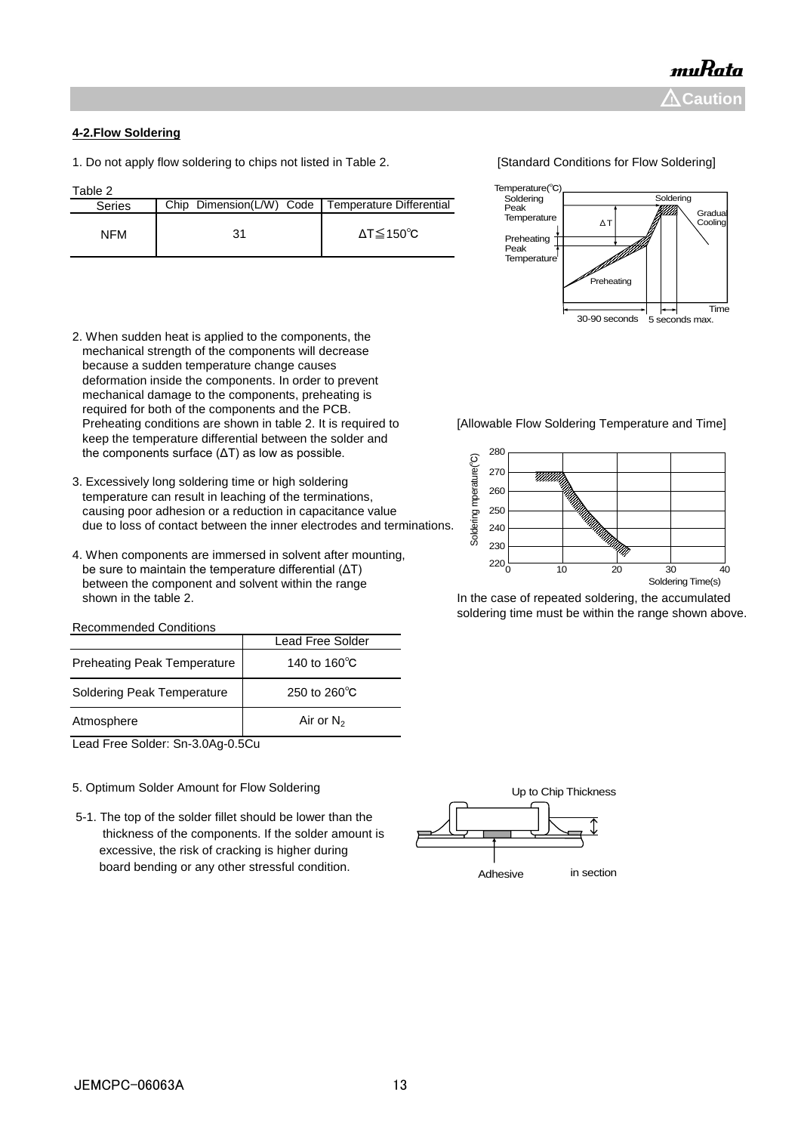muRata  $\underline{\Lambda}$ Caution

# **4-2.Flow Soldering**

1. Do not apply flow soldering to chips not listed in Table 2. [Standard Conditions for Flow Soldering]

|--|--|

| Table Z       |                                                     |                              |
|---------------|-----------------------------------------------------|------------------------------|
| <b>Series</b> | Chip Dimension(L/W) Code   Temperature Differential |                              |
| <b>NFM</b>    | 31                                                  | $\Delta T \leq 150^{\circ}C$ |





In the case of repeated soldering, the accumulated soldering time must be within the range shown above.

- 2. When sudden heat is applied to the components, the mechanical strength of the components will decrease because a sudden temperature change causes deformation inside the components. In order to prevent mechanical damage to the components, preheating is required for both of the components and the PCB. Preheating conditions are shown in table 2. It is required to [Allowable Flow Soldering Temperature and Time] keep the temperature differential between the solder and the components surface (ΔT) as low as possible.
- 3. Excessively long soldering time or high soldering temperature can result in leaching of the terminations, causing poor adhesion or a reduction in capacitance value due to loss of contact between the inner electrodes and terminations.
- 4. When components are immersed in solvent after mounting, be sure to maintain the temperature differential (ΔT) between the component and solvent within the range shown in the table 2.

| <b>Recommended Conditions</b> |  |
|-------------------------------|--|
|                               |  |

|                                    | <b>Lead Free Solder</b> |
|------------------------------------|-------------------------|
| <b>Preheating Peak Temperature</b> | 140 to 160 $\degree$ C  |
| Soldering Peak Temperature         | 250 to $260^{\circ}$ C  |
| Atmosphere                         | Air or $N_2$            |

Lead Free Solder: Sn-3.0Ag-0.5Cu

# 5. Optimum Solder Amount for Flow Soldering

 5-1. The top of the solder fillet should be lower than the thickness of the components. If the solder amount is excessive, the risk of cracking is higher during board bending or any other stressful condition.

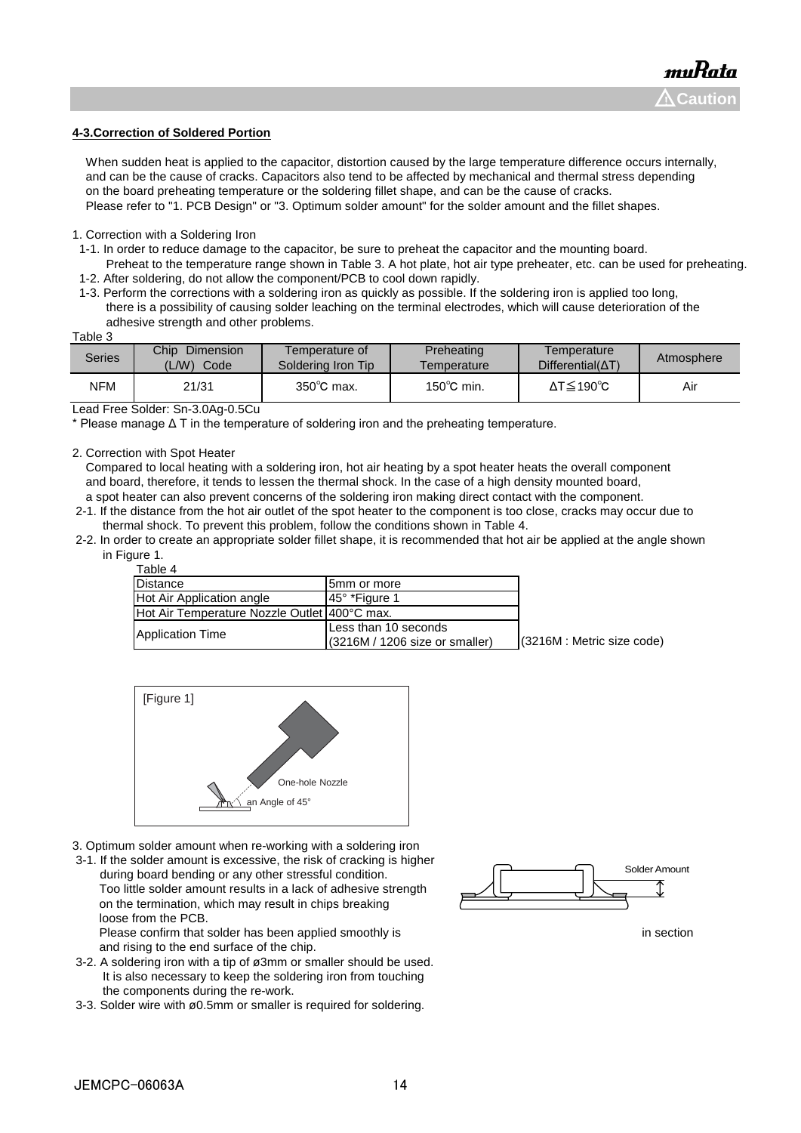## **4-3.Correction of Soldered Portion**

When sudden heat is applied to the capacitor, distortion caused by the large temperature difference occurs internally, and can be the cause of cracks. Capacitors also tend to be affected by mechanical and thermal stress depending on the board preheating temperature or the soldering fillet shape, and can be the cause of cracks. Please refer to "1. PCB Design" or "3. Optimum solder amount" for the solder amount and the fillet shapes.

1. Correction with a Soldering Iron

- 1-1. In order to reduce damage to the capacitor, be sure to preheat the capacitor and the mounting board.
- Preheat to the temperature range shown in Table 3. A hot plate, hot air type preheater, etc. can be used for preheating. 1-2. After soldering, do not allow the component/PCB to cool down rapidly.
- 1-3. Perform the corrections with a soldering iron as quickly as possible. If the soldering iron is applied too long, there is a possibility of causing solder leaching on the terminal electrodes, which will cause deterioration of the adhesive strength and other problems.

Table 3

| Series | Chip<br>Dimension<br>L(W)<br>Code | Temperature of<br>Soldering Iron Tip | Preheating<br>Temperature | Temperature<br>$Differential(\Delta T)$ | Atmosphere |
|--------|-----------------------------------|--------------------------------------|---------------------------|-----------------------------------------|------------|
| NFM    | 21/31                             | 350°C max.                           | $150^{\circ}$ C min.      | ΔT≤190℃                                 | Air        |

Lead Free Solder: Sn-3.0Ag-0.5Cu

\* Please manage  $\Delta$  T in the temperature of soldering iron and the preheating temperature.

2. Correction with Spot Heater

 Compared to local heating with a soldering iron, hot air heating by a spot heater heats the overall component and board, therefore, it tends to lessen the thermal shock. In the case of a high density mounted board, a spot heater can also prevent concerns of the soldering iron making direct contact with the component.

- 2-1. If the distance from the hot air outlet of the spot heater to the component is too close, cracks may occur due to thermal shock. To prevent this problem, follow the conditions shown in Table 4.
- 2-2. In order to create an appropriate solder fillet shape, it is recommended that hot air be applied at the angle shown in Figure 1.

| Table 4                                      |                                                          |                            |
|----------------------------------------------|----------------------------------------------------------|----------------------------|
| <b>Distance</b>                              | 5mm or more                                              |                            |
| Hot Air Application angle                    | 145° *Figure 1                                           |                            |
| Hot Air Temperature Nozzle Outlet 400°C max. |                                                          |                            |
| <b>Application Time</b>                      | Less than 10 seconds<br>$(3216M / 1206$ size or smaller) | (3216M : Metric size code) |



3. Optimum solder amount when re-working with a soldering iron

 3-1. If the solder amount is excessive, the risk of cracking is higher during board bending or any other stressful condition. Too little solder amount results in a lack of adhesive strength on the termination, which may result in chips breaking loose from the PCB.

Please confirm that solder has been applied smoothly is in section is in section and rising to the end surface of the chip.

- 3-2. A soldering iron with a tip of ø3mm or smaller should be used. It is also necessary to keep the soldering iron from touching the components during the re-work.
- 3-3. Solder wire with ø0.5mm or smaller is required for soldering.

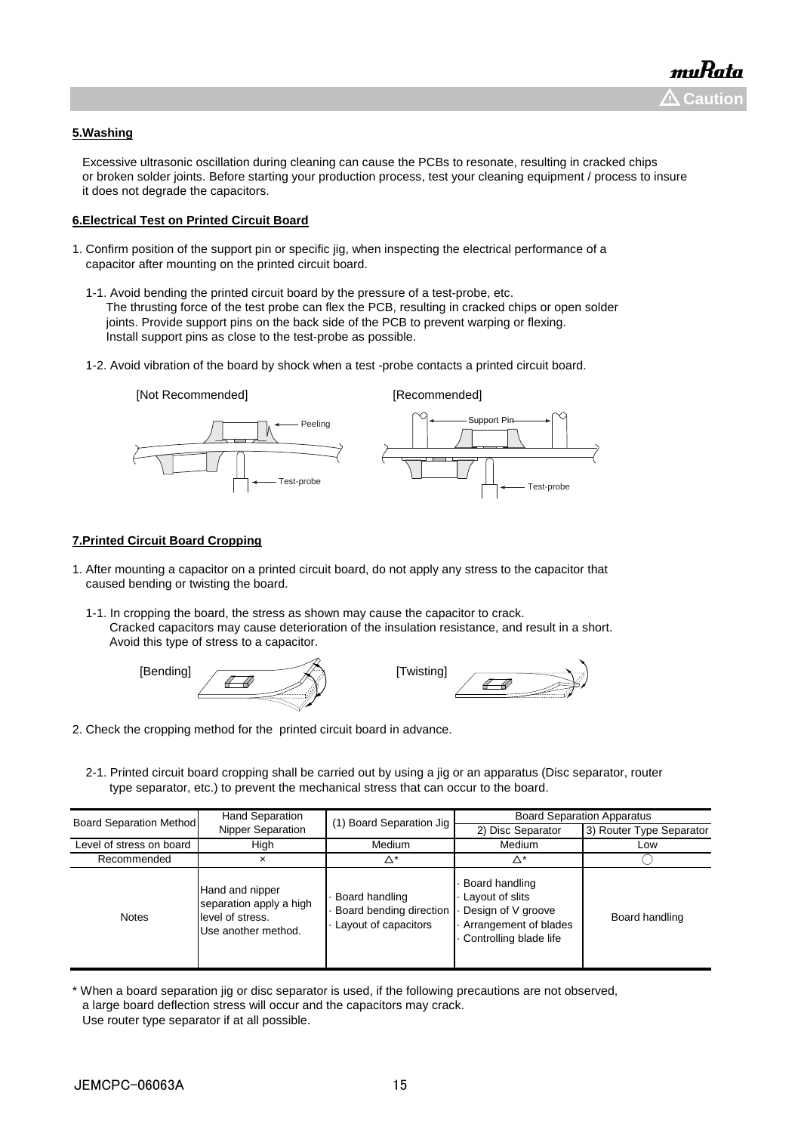# **5.Washing**

 Excessive ultrasonic oscillation during cleaning can cause the PCBs to resonate, resulting in cracked chips or broken solder joints. Before starting your production process, test your cleaning equipment / process to insure it does not degrade the capacitors.

## **6.Electrical Test on Printed Circuit Board**

- 1. Confirm position of the support pin or specific jig, when inspecting the electrical performance of a capacitor after mounting on the printed circuit board.
	- 1-1. Avoid bending the printed circuit board by the pressure of a test-probe, etc. The thrusting force of the test probe can flex the PCB, resulting in cracked chips or open solder joints. Provide support pins on the back side of the PCB to prevent warping or flexing. Install support pins as close to the test-probe as possible.
	- 1-2. Avoid vibration of the board by shock when a test -probe contacts a printed circuit board.



# **7.Printed Circuit Board Cropping**

- 1. After mounting a capacitor on a printed circuit board, do not apply any stress to the capacitor that caused bending or twisting the board.
	- 1-1. In cropping the board, the stress as shown may cause the capacitor to crack. Cracked capacitors may cause deterioration of the insulation resistance, and result in a short. Avoid this type of stress to a capacitor.





- 2. Check the cropping method for the printed circuit board in advance.
	- 2-1. Printed circuit board cropping shall be carried out by using a jig or an apparatus (Disc separator, router type separator, etc.) to prevent the mechanical stress that can occur to the board.

| <b>Board Separation Method</b> | Hand Separation                                                                       | (1) Board Separation Jig<br><b>Nipper Separation</b>              | <b>Board Separation Apparatus</b>                                                                          |                          |  |
|--------------------------------|---------------------------------------------------------------------------------------|-------------------------------------------------------------------|------------------------------------------------------------------------------------------------------------|--------------------------|--|
|                                |                                                                                       |                                                                   | 2) Disc Separator                                                                                          | 3) Router Type Separator |  |
| Level of stress on board       | High                                                                                  | Medium                                                            | Medium                                                                                                     | Low                      |  |
| Recommended                    | ×                                                                                     | Δ*                                                                | Δ*                                                                                                         |                          |  |
| <b>Notes</b>                   | Hand and nipper<br>separation apply a high<br>level of stress.<br>Use another method. | Board handling<br>Board bending direction<br>Layout of capacitors | Board handling<br>Layout of slits<br>Design of V groove<br>Arrangement of blades<br>Controlling blade life | Board handling           |  |

<sup>\*</sup> When a board separation jig or disc separator is used, if the following precautions are not observed, a large board deflection stress will occur and the capacitors may crack. Use router type separator if at all possible.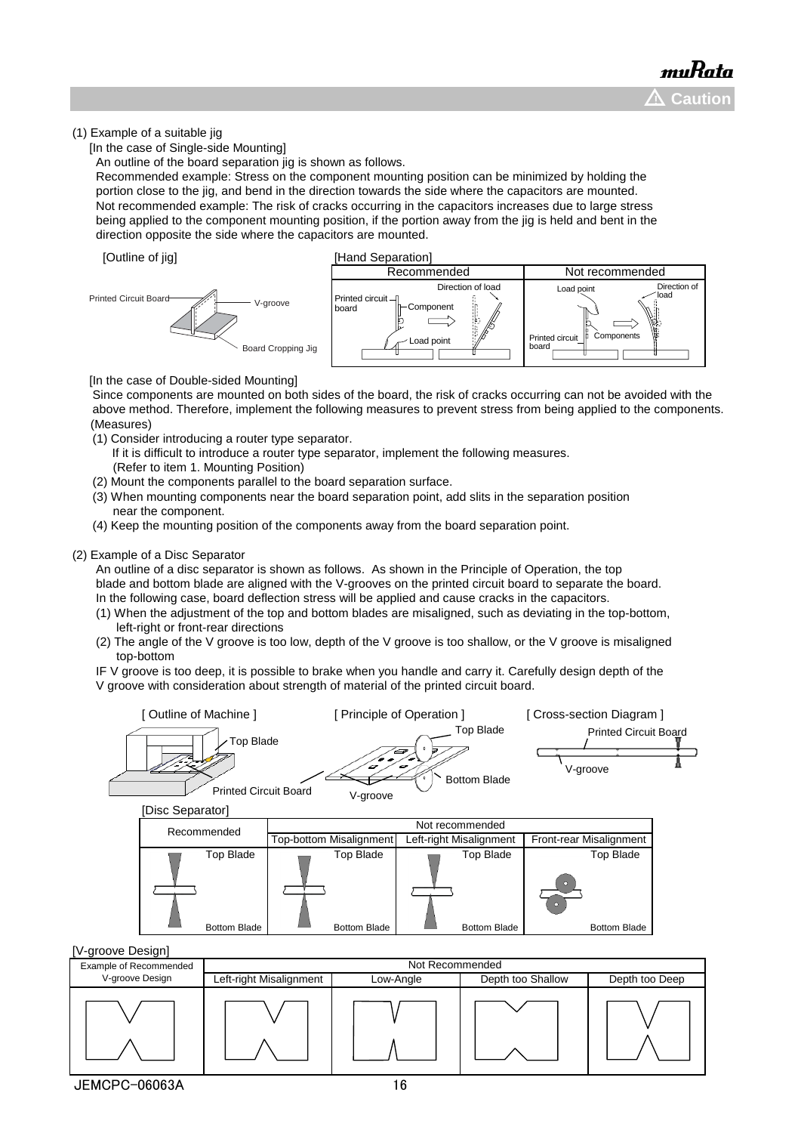# (1) Example of a suitable jig

[In the case of Single-side Mounting]

An outline of the board separation jig is shown as follows.

 Recommended example: Stress on the component mounting position can be minimized by holding the portion close to the jig, and bend in the direction towards the side where the capacitors are mounted. Not recommended example: The risk of cracks occurring in the capacitors increases due to large stress being applied to the component mounting position, if the portion away from the jig is held and bent in the direction opposite the side where the capacitors are mounted.





[In the case of Double-sided Mounting]

 Since components are mounted on both sides of the board, the risk of cracks occurring can not be avoided with the above method. Therefore, implement the following measures to prevent stress from being applied to the components. (Measures)

- (1) Consider introducing a router type separator.
	- If it is difficult to introduce a router type separator, implement the following measures. (Refer to item 1. Mounting Position)
- (2) Mount the components parallel to the board separation surface.
- (3) When mounting components near the board separation point, add slits in the separation position near the component.
- (4) Keep the mounting position of the components away from the board separation point.

# (2) Example of a Disc Separator

 An outline of a disc separator is shown as follows. As shown in the Principle of Operation, the top blade and bottom blade are aligned with the V-grooves on the printed circuit board to separate the board. In the following case, board deflection stress will be applied and cause cracks in the capacitors.

- (1) When the adjustment of the top and bottom blades are misaligned, such as deviating in the top-bottom, left-right or front-rear directions
- (2) The angle of the V groove is too low, depth of the V groove is too shallow, or the V groove is misaligned top-bottom

 IF V groove is too deep, it is possible to brake when you handle and carry it. Carefully design depth of the V groove with consideration about strength of material of the printed circuit board.



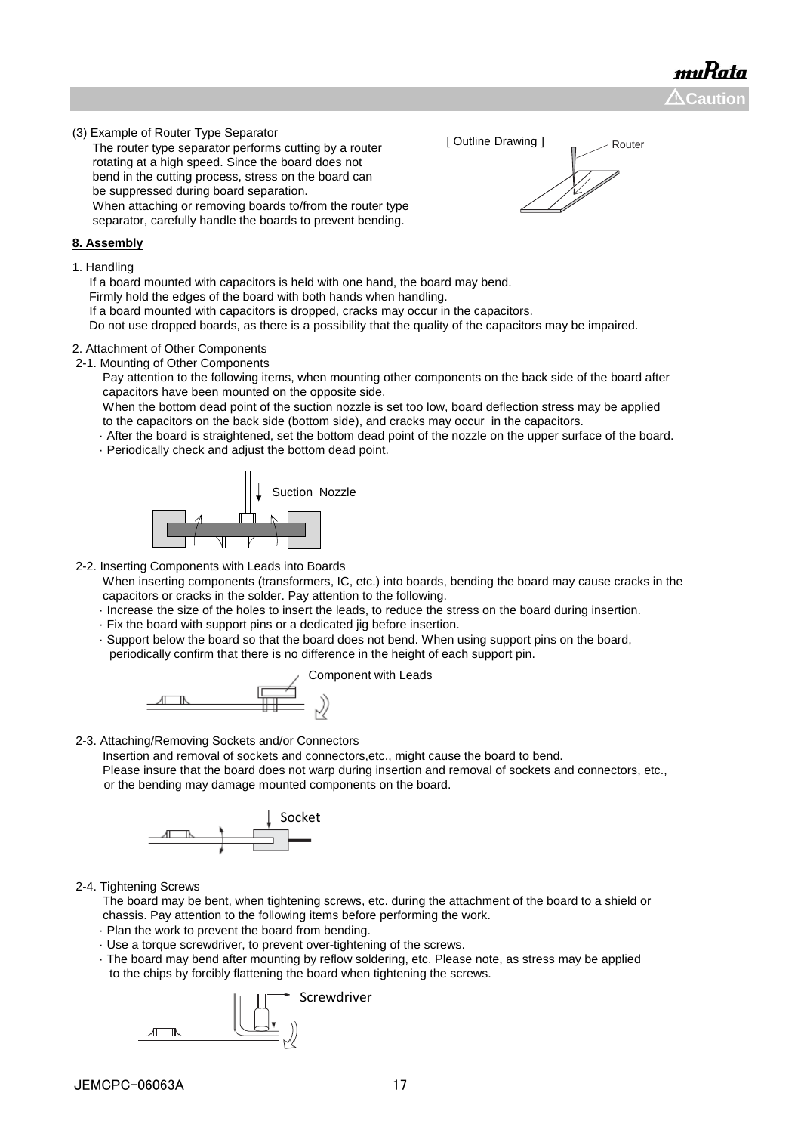muRata  $\Delta$ Caution

(3) Example of Router Type Separator

 The router type separator performs cutting by a router rotating at a high speed. Since the board does not bend in the cutting process, stress on the board can be suppressed during board separation. When attaching or removing boards to/from the router type separator, carefully handle the boards to prevent bending.

# **8. Assembly**

1. Handling

 If a board mounted with capacitors is held with one hand, the board may bend. Firmly hold the edges of the board with both hands when handling.

If a board mounted with capacitors is dropped, cracks may occur in the capacitors.

Do not use dropped boards, as there is a possibility that the quality of the capacitors may be impaired.

- 2. Attachment of Other Components
- 2-1. Mounting of Other Components

 Pay attention to the following items, when mounting other components on the back side of the board after capacitors have been mounted on the opposite side.

 When the bottom dead point of the suction nozzle is set too low, board deflection stress may be applied to the capacitors on the back side (bottom side), and cracks may occur in the capacitors.

 · After the board is straightened, set the bottom dead point of the nozzle on the upper surface of the board. · Periodically check and adjust the bottom dead point.



- 2-2. Inserting Components with Leads into Boards
	- When inserting components (transformers, IC, etc.) into boards, bending the board may cause cracks in the capacitors or cracks in the solder. Pay attention to the following.
	- · Increase the size of the holes to insert the leads, to reduce the stress on the board during insertion.
	- · Fix the board with support pins or a dedicated jig before insertion.
	- · Support below the board so that the board does not bend. When using support pins on the board, periodically confirm that there is no difference in the height of each support pin.

Component with Leads



2-3. Attaching/Removing Sockets and/or Connectors

 Insertion and removal of sockets and connectors, etc., might cause the board to bend. Please insure that the board does not warp during insertion and removal of sockets and connectors, etc., or the bending may damage mounted components on the board.



### 2-4. Tightening Screws

 The board may be bent, when tightening screws, etc. during the attachment of the board to a shield or chassis. Pay attention to the following items before performing the work.

- · Plan the work to prevent the board from bending.
- · Use a torque screwdriver, to prevent over-tightening of the screws.
- · The board may bend after mounting by reflow soldering, etc. Please note, as stress may be applied to the chips by forcibly flattening the board when tightening the screws.



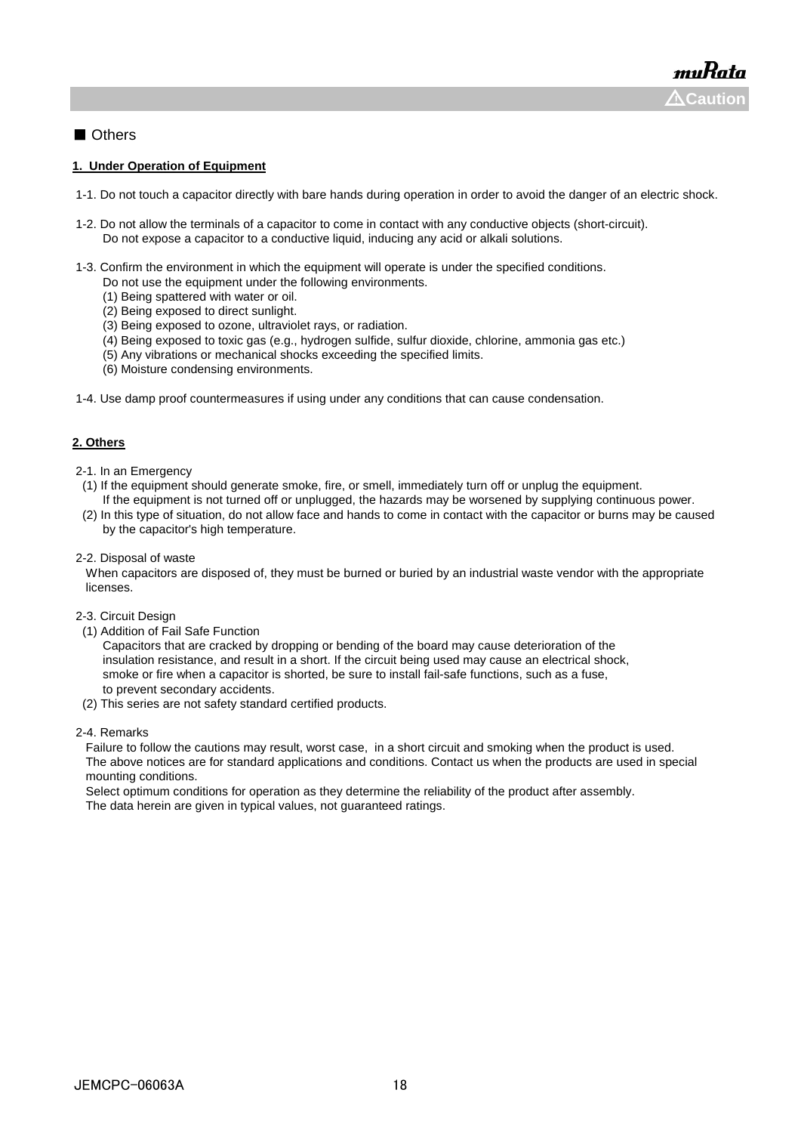# ■ Others

# **1. Under Operation of Equipment**

- 1-1. Do not touch a capacitor directly with bare hands during operation in order to avoid the danger of an electric shock.
- 1-2. Do not allow the terminals of a capacitor to come in contact with any conductive objects (short-circuit). Do not expose a capacitor to a conductive liquid, inducing any acid or alkali solutions.
- 1-3. Confirm the environment in which the equipment will operate is under the specified conditions.
	- Do not use the equipment under the following environments.
	- (1) Being spattered with water or oil.
	- (2) Being exposed to direct sunlight.
	- (3) Being exposed to ozone, ultraviolet rays, or radiation.
	- (4) Being exposed to toxic gas (e.g., hydrogen sulfide, sulfur dioxide, chlorine, ammonia gas etc.)
	- (5) Any vibrations or mechanical shocks exceeding the specified limits.
	- (6) Moisture condensing environments.
- 1-4. Use damp proof countermeasures if using under any conditions that can cause condensation.

### **2. Others**

- 2-1. In an Emergency
- (1) If the equipment should generate smoke, fire, or smell, immediately turn off or unplug the equipment. If the equipment is not turned off or unplugged, the hazards may be worsened by supplying continuous power.
- (2) In this type of situation, do not allow face and hands to come in contact with the capacitor or burns may be caused by the capacitor's high temperature.
- 2-2. Disposal of waste

 When capacitors are disposed of, they must be burned or buried by an industrial waste vendor with the appropriate licenses.

- 2-3. Circuit Design
- (1) Addition of Fail Safe Function

 Capacitors that are cracked by dropping or bending of the board may cause deterioration of the insulation resistance, and result in a short. If the circuit being used may cause an electrical shock, smoke or fire when a capacitor is shorted, be sure to install fail-safe functions, such as a fuse, to prevent secondary accidents.

(2) This series are not safety standard certified products.

2-4. Remarks

 Failure to follow the cautions may result, worst case, in a short circuit and smoking when the product is used. The above notices are for standard applications and conditions. Contact us when the products are used in special mounting conditions.

 Select optimum conditions for operation as they determine the reliability of the product after assembly. The data herein are given in typical values, not guaranteed ratings.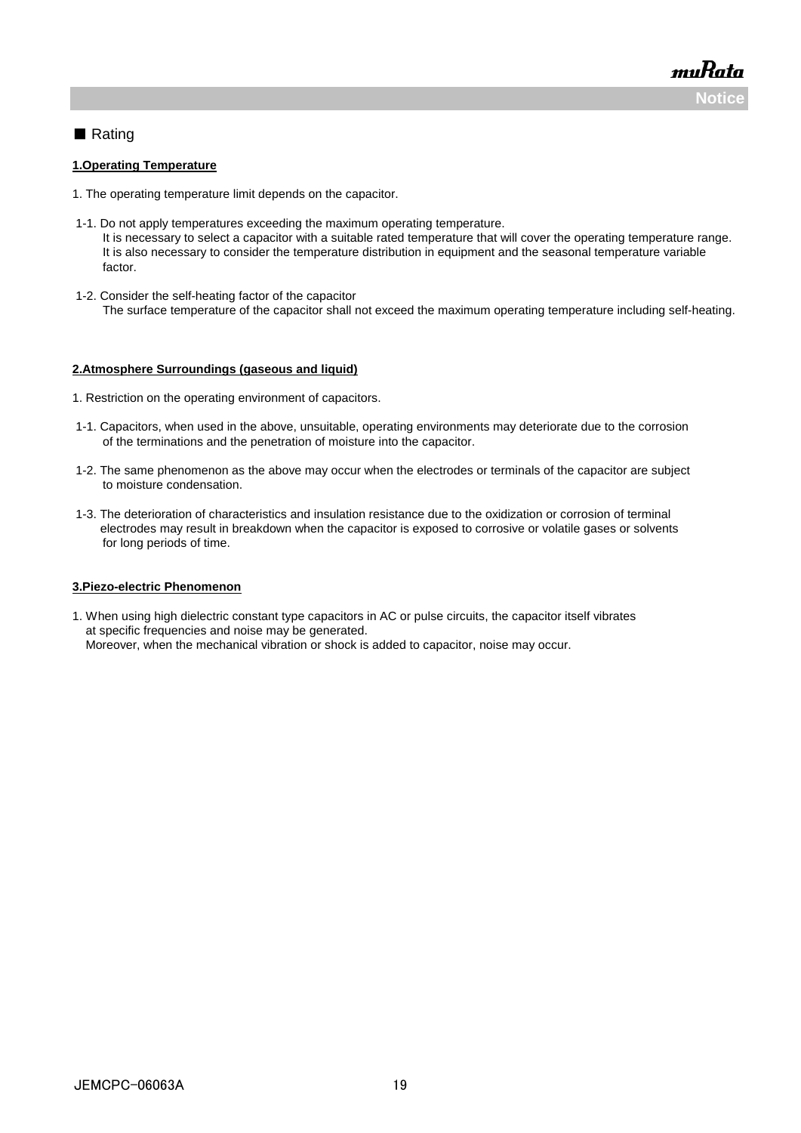muRata **Noti** 

# ■ Rating

# **1.Operating Temperature**

- 1. The operating temperature limit depends on the capacitor.
- 1-1. Do not apply temperatures exceeding the maximum operating temperature. It is necessary to select a capacitor with a suitable rated temperature that will cover the operating temperature range. It is also necessary to consider the temperature distribution in equipment and the seasonal temperature variable factor.
- 1-2. Consider the self-heating factor of the capacitor The surface temperature of the capacitor shall not exceed the maximum operating temperature including self-heating.

### **2.Atmosphere Surroundings (gaseous and liquid)**

- 1. Restriction on the operating environment of capacitors.
- 1-1. Capacitors, when used in the above, unsuitable, operating environments may deteriorate due to the corrosion of the terminations and the penetration of moisture into the capacitor.
- 1-2. The same phenomenon as the above may occur when the electrodes or terminals of the capacitor are subject to moisture condensation.
- 1-3. The deterioration of characteristics and insulation resistance due to the oxidization or corrosion of terminal electrodes may result in breakdown when the capacitor is exposed to corrosive or volatile gases or solvents for long periods of time.

## **3.Piezo-electric Phenomenon**

1. When using high dielectric constant type capacitors in AC or pulse circuits, the capacitor itself vibrates at specific frequencies and noise may be generated. Moreover, when the mechanical vibration or shock is added to capacitor, noise may occur.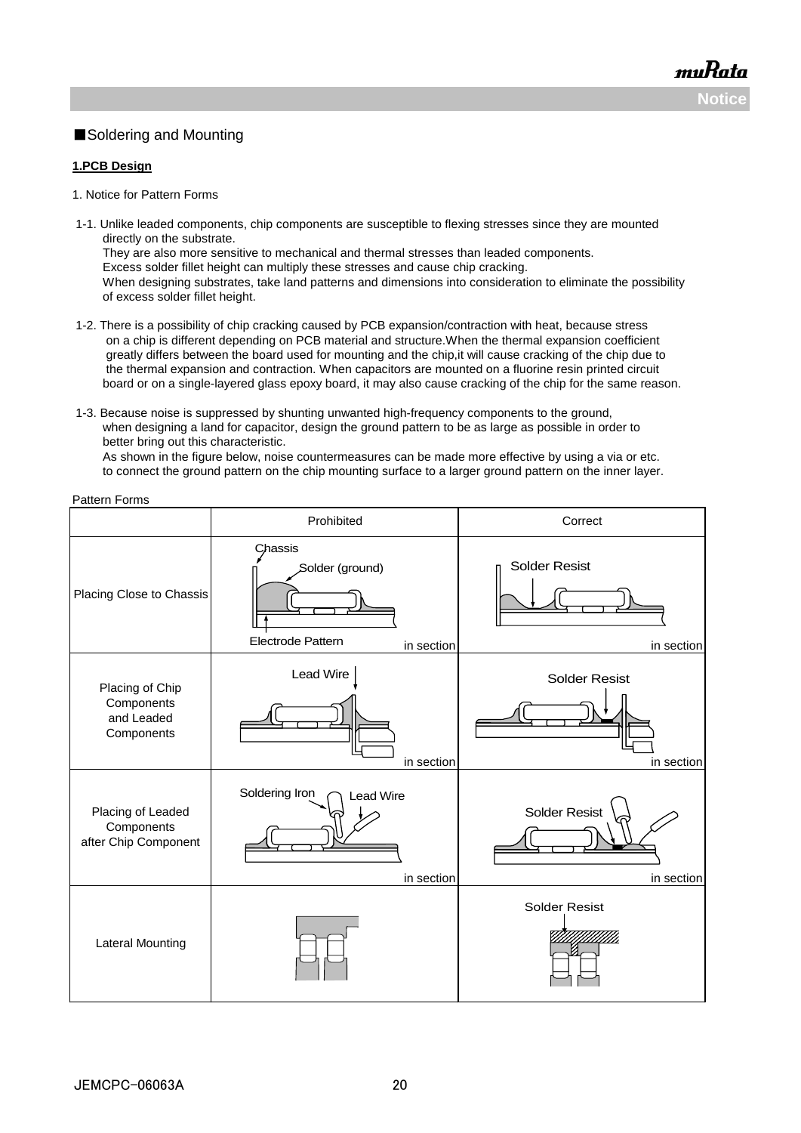# ■Soldering and Mounting

# **1.PCB Design**

Pattern Forms

- 1. Notice for Pattern Forms
- 1-1. Unlike leaded components, chip components are susceptible to flexing stresses since they are mounted directly on the substrate. They are also more sensitive to mechanical and thermal stresses than leaded components. Excess solder fillet height can multiply these stresses and cause chip cracking. When designing substrates, take land patterns and dimensions into consideration to eliminate the possibility of excess solder fillet height.
- 1-2. There is a possibility of chip cracking caused by PCB expansion/contraction with heat, because stress on a chip is different depending on PCB material and structure.When the thermal expansion coefficient greatly differs between the board used for mounting and the chip,it will cause cracking of the chip due to the thermal expansion and contraction. When capacitors are mounted on a fluorine resin printed circuit board or on a single-layered glass epoxy board, it may also cause cracking of the chip for the same reason.
- 1-3. Because noise is suppressed by shunting unwanted high-frequency components to the ground, when designing a land for capacitor, design the ground pattern to be as large as possible in order to better bring out this characteristic. As shown in the figure below, noise countermeasures can be made more effective by using a via or etc.

to connect the ground pattern on the chip mounting surface to a larger ground pattern on the inner layer.

| <b>Fallelli</b> Fullis                                    | Prohibited                                                    | Correct                            |
|-----------------------------------------------------------|---------------------------------------------------------------|------------------------------------|
| Placing Close to Chassis                                  | Chassis<br>Solder (ground)<br>Electrode Pattern<br>in section | <b>Solder Resist</b><br>in section |
| Placing of Chip<br>Components<br>and Leaded<br>Components | <b>Lead Wire</b><br>in section                                | <b>Solder Resist</b><br>in section |
| Placing of Leaded<br>Components<br>after Chip Component   | Soldering Iron<br><b>Lead Wire</b><br>in section              | <b>Solder Resist</b><br>in section |
| Lateral Mounting                                          |                                                               | <b>Solder Resist</b>               |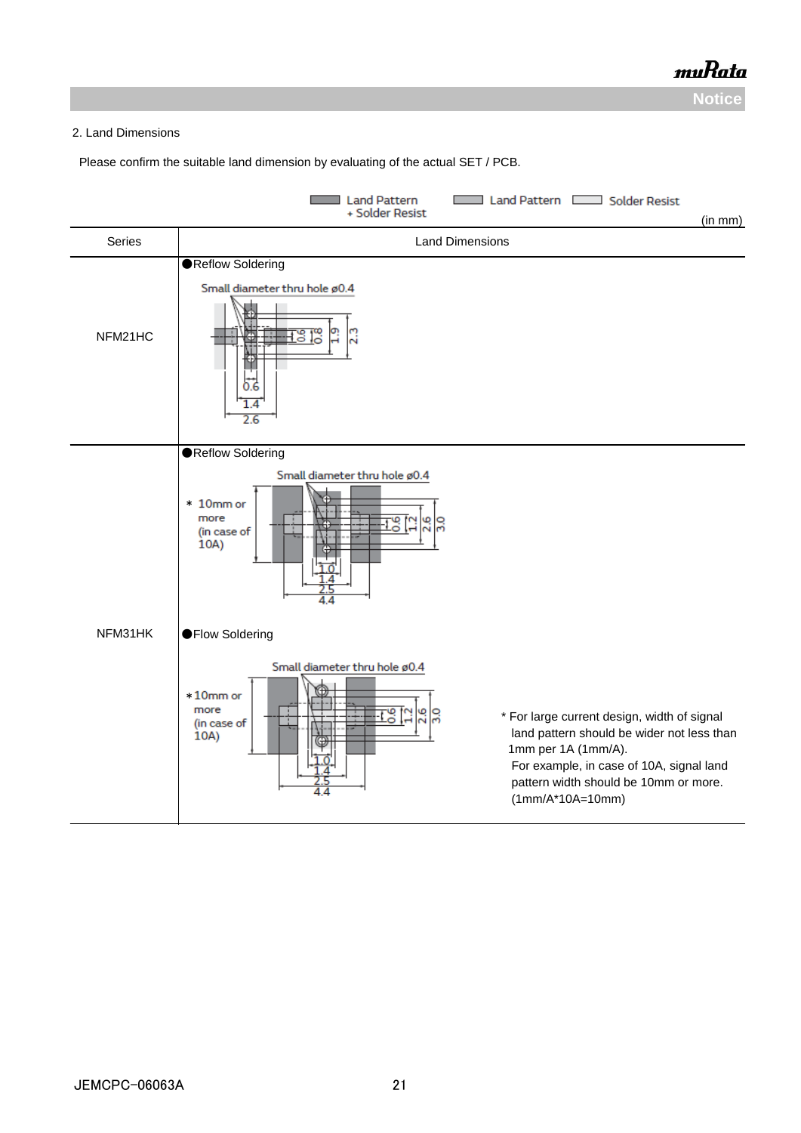muRata

**Notice**

# 2. Land Dimensions

Please confirm the suitable land dimension by evaluating of the actual SET / PCB.

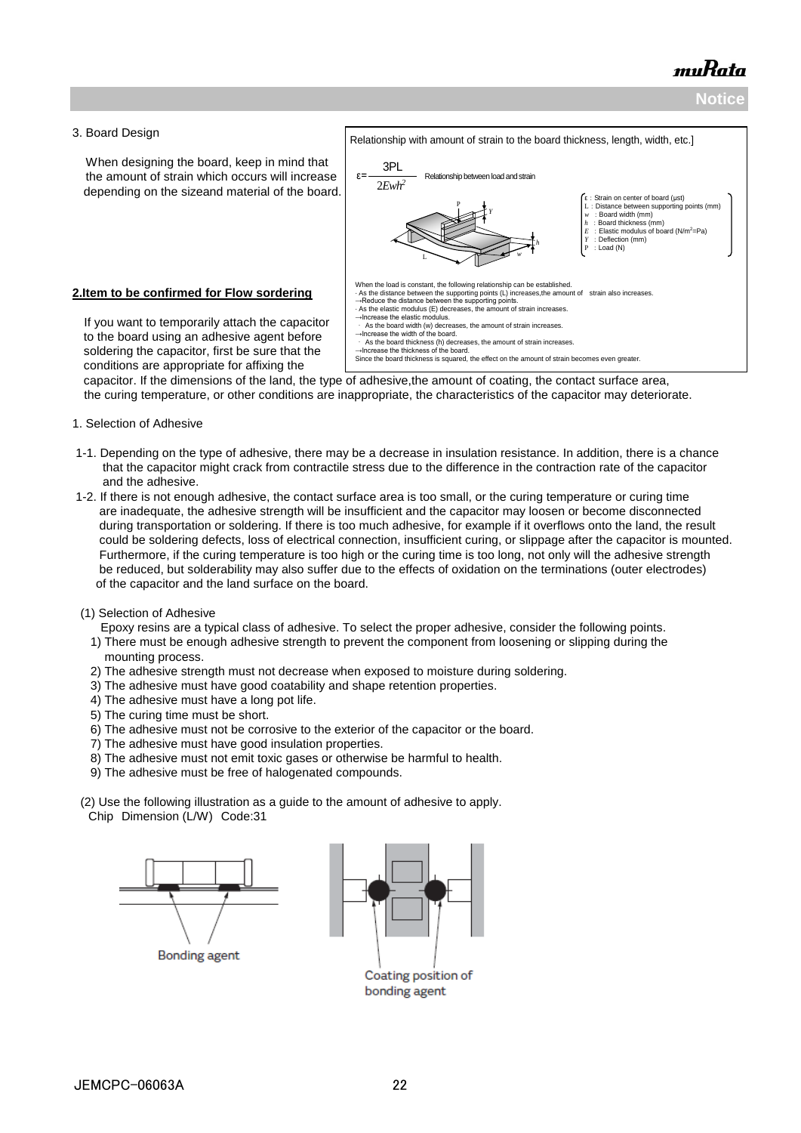# muRata

# **Notice**

# 3. Board Design

 When designing the board, keep in mind that the amount of strain which occurs will increase depending on the sizeand material of the board.

# **2.Item to be confirmed for Flow sordering**





 capacitor. If the dimensions of the land, the type of adhesive,the amount of coating, the contact surface area, the curing temperature, or other conditions are inappropriate, the characteristics of the capacitor may deteriorate.

- 1. Selection of Adhesive
- 1-1. Depending on the type of adhesive, there may be a decrease in insulation resistance. In addition, there is a chance that the capacitor might crack from contractile stress due to the difference in the contraction rate of the capacitor and the adhesive.
- 1-2. If there is not enough adhesive, the contact surface area is too small, or the curing temperature or curing time are inadequate, the adhesive strength will be insufficient and the capacitor may loosen or become disconnected during transportation or soldering. If there is too much adhesive, for example if it overflows onto the land, the result could be soldering defects, loss of electrical connection, insufficient curing, or slippage after the capacitor is mounted. Furthermore, if the curing temperature is too high or the curing time is too long, not only will the adhesive strength be reduced, but solderability may also suffer due to the effects of oxidation on the terminations (outer electrodes) of the capacitor and the land surface on the board.
- (1) Selection of Adhesive

Epoxy resins are a typical class of adhesive. To select the proper adhesive, consider the following points.

- 1) There must be enough adhesive strength to prevent the component from loosening or slipping during the mounting process.
- 2) The adhesive strength must not decrease when exposed to moisture during soldering.
- 3) The adhesive must have good coatability and shape retention properties.
- 4) The adhesive must have a long pot life.
- 5) The curing time must be short.
- 6) The adhesive must not be corrosive to the exterior of the capacitor or the board.
- 7) The adhesive must have good insulation properties.
- 8) The adhesive must not emit toxic gases or otherwise be harmful to health.
- 9) The adhesive must be free of halogenated compounds.

(2) Use the following illustration as a guide to the amount of adhesive to apply. Chip Dimension (L/W) Code:31



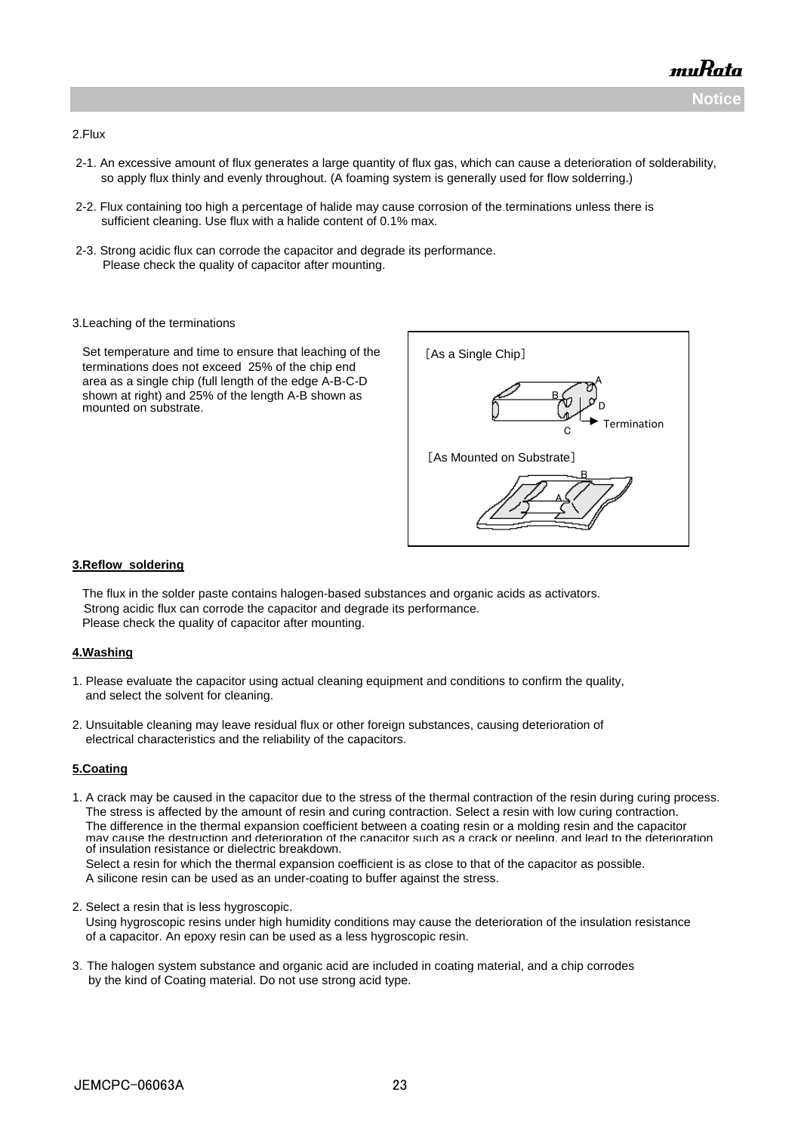

## 2.Flux

- 2-1. An excessive amount of flux generates a large quantity of flux gas, which can cause a deterioration of solderability, so apply flux thinly and evenly throughout. (A foaming system is generally used for flow solderring.)
- 2-2. Flux containing too high a percentage of halide may cause corrosion of the terminations unless there is sufficient cleaning. Use flux with a halide content of 0.1% max.
- 2-3. Strong acidic flux can corrode the capacitor and degrade its performance. Please check the quality of capacitor after mounting.

### 3.Leaching of the terminations

 Set temperature and time to ensure that leaching of the terminations does not exceed 25% of the chip end area as a single chip (full length of the edge A-B-C-D shown at right) and 25% of the length A-B shown as mounted on substrate.



# **3.Reflow soldering**

 The flux in the solder paste contains halogen-based substances and organic acids as activators. Strong acidic flux can corrode the capacitor and degrade its performance. Please check the quality of capacitor after mounting.

### **4.Washing**

- 1. Please evaluate the capacitor using actual cleaning equipment and conditions to confirm the quality, and select the solvent for cleaning.
- 2. Unsuitable cleaning may leave residual flux or other foreign substances, causing deterioration of electrical characteristics and the reliability of the capacitors.

### **5.Coating**

1. A crack may be caused in the capacitor due to the stress of the thermal contraction of the resin during curing process. The stress is affected by the amount of resin and curing contraction. Select a resin with low curing contraction. The difference in the thermal expansion coefficient between a coating resin or a molding resin and the capacitor may cause the destruction and deterioration of the capacitor such as a crack or peeling, and lead to the deterioration of insulation resistance or dielectric breakdown.

 Select a resin for which the thermal expansion coefficient is as close to that of the capacitor as possible. A silicone resin can be used as an under-coating to buffer against the stress.

- 2. Select a resin that is less hygroscopic. Using hygroscopic resins under high humidity conditions may cause the deterioration of the insulation resistance of a capacitor. An epoxy resin can be used as a less hygroscopic resin.
- 3.The halogen system substance and organic acid are included in coating material, and a chip corrodes by the kind of Coating material. Do not use strong acid type.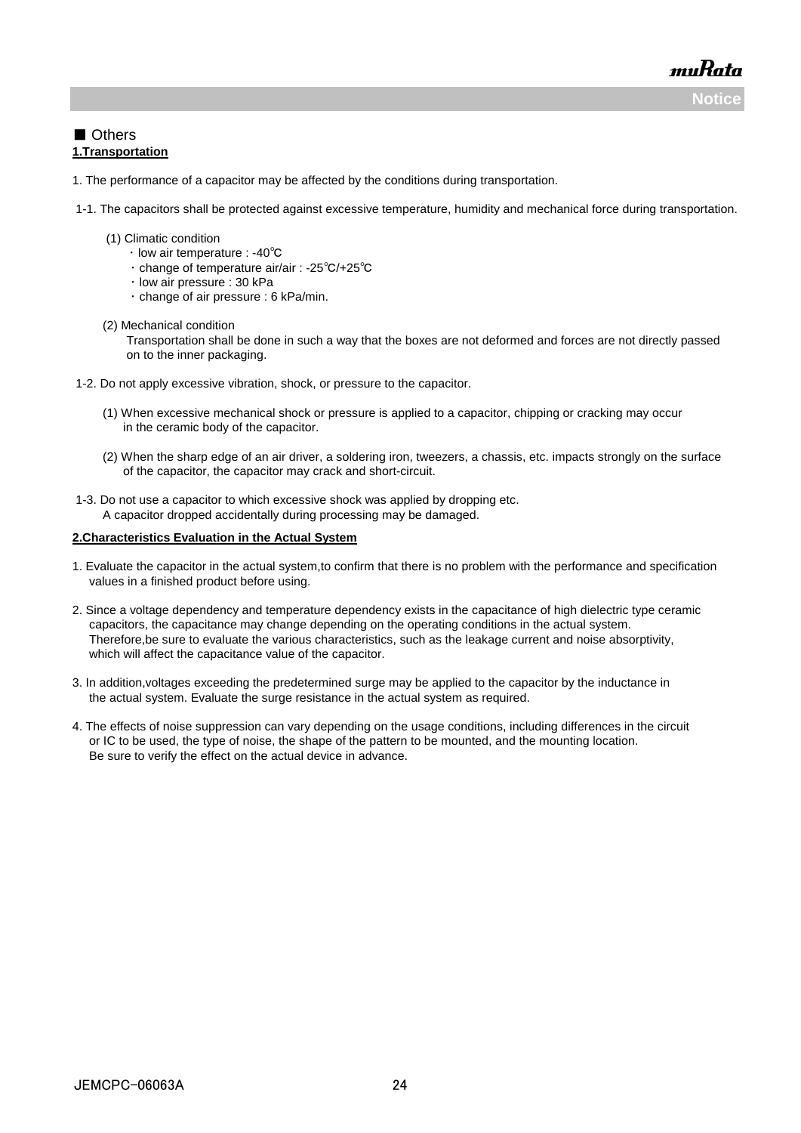**Notice**

muRata

# ■ Others **1.Transportation**

- 1. The performance of a capacitor may be affected by the conditions during transportation.
- 1-1. The capacitors shall be protected against excessive temperature, humidity and mechanical force during transportation.
	- (1) Climatic condition
		- ・ low air temperature : -40℃
		- ・ change of temperature air/air : -25℃/+25℃
		- ・ low air pressure : 30 kPa
			- ・ change of air pressure : 6 kPa/min.
	- (2) Mechanical condition

 Transportation shall be done in such a way that the boxes are not deformed and forces are not directly passed on to the inner packaging.

- 1-2. Do not apply excessive vibration, shock, or pressure to the capacitor.
	- (1) When excessive mechanical shock or pressure is applied to a capacitor, chipping or cracking may occur in the ceramic body of the capacitor.
	- (2) When the sharp edge of an air driver, a soldering iron, tweezers, a chassis, etc. impacts strongly on the surface of the capacitor, the capacitor may crack and short-circuit.
- 1-3. Do not use a capacitor to which excessive shock was applied by dropping etc. A capacitor dropped accidentally during processing may be damaged.

## **2.Characteristics Evaluation in the Actual System**

- 1. Evaluate the capacitor in the actual system,to confirm that there is no problem with the performance and specification values in a finished product before using.
- 2. Since a voltage dependency and temperature dependency exists in the capacitance of high dielectric type ceramic capacitors, the capacitance may change depending on the operating conditions in the actual system. Therefore,be sure to evaluate the various characteristics, such as the leakage current and noise absorptivity, which will affect the capacitance value of the capacitor.
- 3. In addition,voltages exceeding the predetermined surge may be applied to the capacitor by the inductance in the actual system. Evaluate the surge resistance in the actual system as required.
- 4. The effects of noise suppression can vary depending on the usage conditions, including differences in the circuit or IC to be used, the type of noise, the shape of the pattern to be mounted, and the mounting location. Be sure to verify the effect on the actual device in advance.